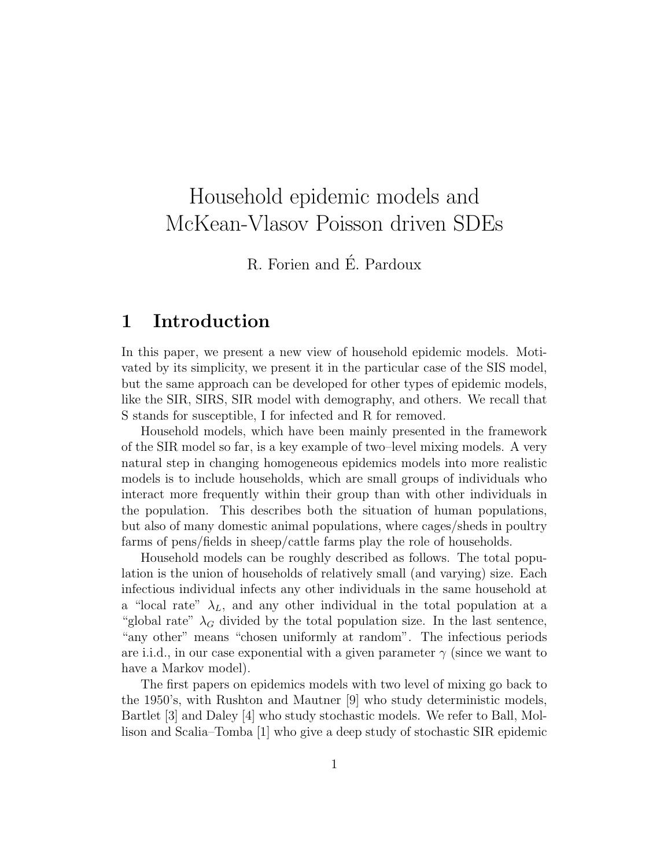# Household epidemic models and McKean-Vlasov Poisson driven SDEs

R. Forien and É. Pardoux

## 1 Introduction

In this paper, we present a new view of household epidemic models. Motivated by its simplicity, we present it in the particular case of the SIS model, but the same approach can be developed for other types of epidemic models, like the SIR, SIRS, SIR model with demography, and others. We recall that S stands for susceptible, I for infected and R for removed.

Household models, which have been mainly presented in the framework of the SIR model so far, is a key example of two–level mixing models. A very natural step in changing homogeneous epidemics models into more realistic models is to include households, which are small groups of individuals who interact more frequently within their group than with other individuals in the population. This describes both the situation of human populations, but also of many domestic animal populations, where cages/sheds in poultry farms of pens/fields in sheep/cattle farms play the role of households.

Household models can be roughly described as follows. The total population is the union of households of relatively small (and varying) size. Each infectious individual infects any other individuals in the same household at a "local rate"  $\lambda_L$ , and any other individual in the total population at a "global rate"  $\lambda_G$  divided by the total population size. In the last sentence, "any other" means "chosen uniformly at random". The infectious periods are i.i.d., in our case exponential with a given parameter  $\gamma$  (since we want to have a Markov model).

The first papers on epidemics models with two level of mixing go back to the 1950's, with Rushton and Mautner [9] who study deterministic models, Bartlet [3] and Daley [4] who study stochastic models. We refer to Ball, Mollison and Scalia–Tomba [1] who give a deep study of stochastic SIR epidemic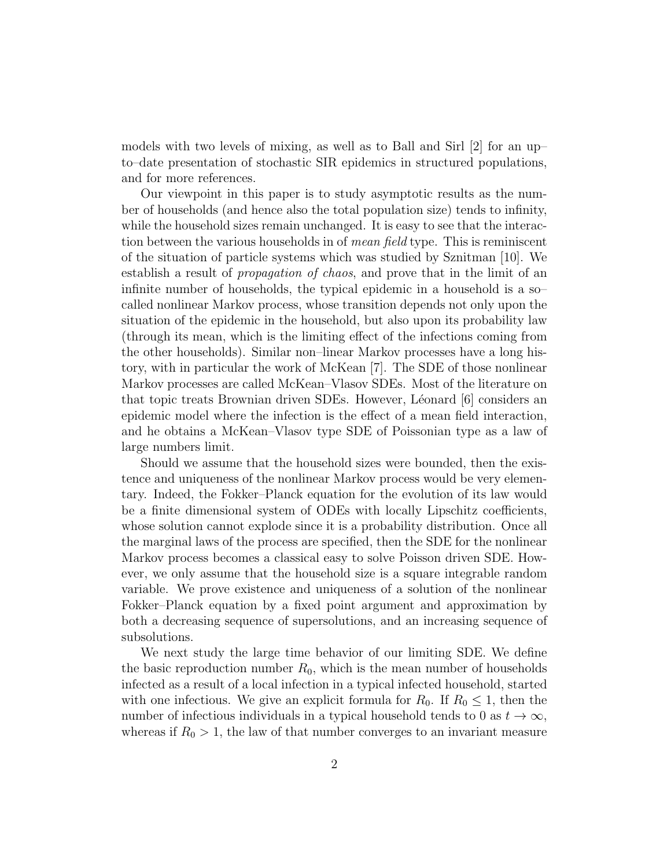models with two levels of mixing, as well as to Ball and Sirl [2] for an up– to–date presentation of stochastic SIR epidemics in structured populations, and for more references.

Our viewpoint in this paper is to study asymptotic results as the number of households (and hence also the total population size) tends to infinity, while the household sizes remain unchanged. It is easy to see that the interaction between the various households in of *mean field* type. This is reminiscent of the situation of particle systems which was studied by Sznitman [10]. We establish a result of propagation of chaos, and prove that in the limit of an infinite number of households, the typical epidemic in a household is a so– called nonlinear Markov process, whose transition depends not only upon the situation of the epidemic in the household, but also upon its probability law (through its mean, which is the limiting effect of the infections coming from the other households). Similar non–linear Markov processes have a long history, with in particular the work of McKean [7]. The SDE of those nonlinear Markov processes are called McKean–Vlasov SDEs. Most of the literature on that topic treats Brownian driven SDEs. However, Léonard  $[6]$  considers an epidemic model where the infection is the effect of a mean field interaction, and he obtains a McKean–Vlasov type SDE of Poissonian type as a law of large numbers limit.

Should we assume that the household sizes were bounded, then the existence and uniqueness of the nonlinear Markov process would be very elementary. Indeed, the Fokker–Planck equation for the evolution of its law would be a finite dimensional system of ODEs with locally Lipschitz coefficients, whose solution cannot explode since it is a probability distribution. Once all the marginal laws of the process are specified, then the SDE for the nonlinear Markov process becomes a classical easy to solve Poisson driven SDE. However, we only assume that the household size is a square integrable random variable. We prove existence and uniqueness of a solution of the nonlinear Fokker–Planck equation by a fixed point argument and approximation by both a decreasing sequence of supersolutions, and an increasing sequence of subsolutions.

We next study the large time behavior of our limiting SDE. We define the basic reproduction number  $R_0$ , which is the mean number of households infected as a result of a local infection in a typical infected household, started with one infectious. We give an explicit formula for  $R_0$ . If  $R_0 \leq 1$ , then the number of infectious individuals in a typical household tends to 0 as  $t \to \infty$ , whereas if  $R_0 > 1$ , the law of that number converges to an invariant measure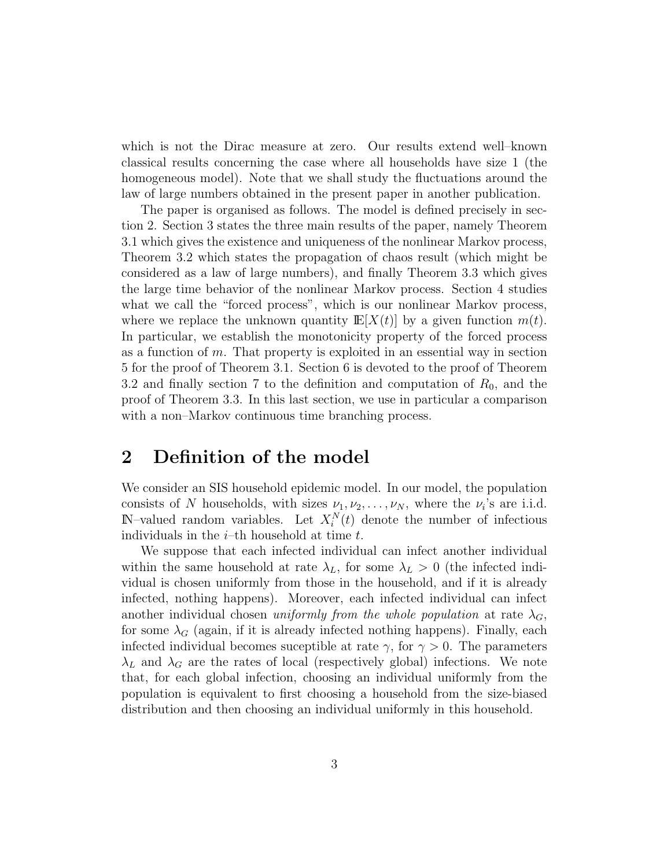which is not the Dirac measure at zero. Our results extend well–known classical results concerning the case where all households have size 1 (the homogeneous model). Note that we shall study the fluctuations around the law of large numbers obtained in the present paper in another publication.

The paper is organised as follows. The model is defined precisely in section 2. Section 3 states the three main results of the paper, namely Theorem 3.1 which gives the existence and uniqueness of the nonlinear Markov process, Theorem 3.2 which states the propagation of chaos result (which might be considered as a law of large numbers), and finally Theorem 3.3 which gives the large time behavior of the nonlinear Markov process. Section 4 studies what we call the "forced process", which is our nonlinear Markov process, where we replace the unknown quantity  $\mathbb{E}[X(t)]$  by a given function  $m(t)$ . In particular, we establish the monotonicity property of the forced process as a function of  $m$ . That property is exploited in an essential way in section 5 for the proof of Theorem 3.1. Section 6 is devoted to the proof of Theorem 3.2 and finally section 7 to the definition and computation of  $R_0$ , and the proof of Theorem 3.3. In this last section, we use in particular a comparison with a non–Markov continuous time branching process.

### 2 Definition of the model

We consider an SIS household epidemic model. In our model, the population consists of N households, with sizes  $\nu_1, \nu_2, \ldots, \nu_N$ , where the  $\nu_i$ 's are i.i.d.  $\mathbb{N}$ -valued random variables. Let  $X_i^N(t)$  denote the number of infectious individuals in the  $i$ -th household at time  $t$ .

We suppose that each infected individual can infect another individual within the same household at rate  $\lambda_L$ , for some  $\lambda_L > 0$  (the infected individual is chosen uniformly from those in the household, and if it is already infected, nothing happens). Moreover, each infected individual can infect another individual chosen uniformly from the whole population at rate  $\lambda_G$ , for some  $\lambda_G$  (again, if it is already infected nothing happens). Finally, each infected individual becomes suceptible at rate  $\gamma$ , for  $\gamma > 0$ . The parameters  $\lambda_L$  and  $\lambda_G$  are the rates of local (respectively global) infections. We note that, for each global infection, choosing an individual uniformly from the population is equivalent to first choosing a household from the size-biased distribution and then choosing an individual uniformly in this household.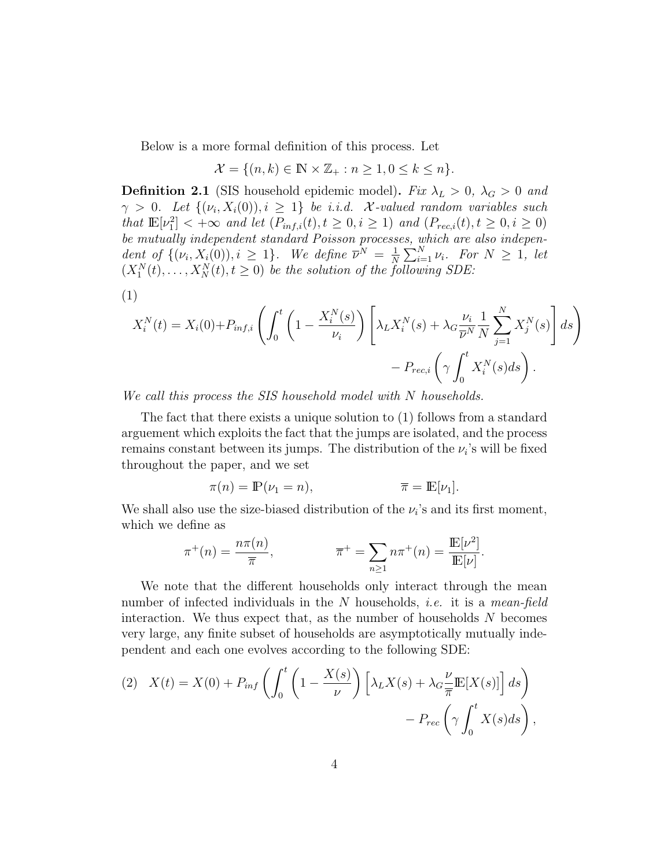Below is a more formal definition of this process. Let

$$
\mathcal{X} = \{(n,k) \in \mathbb{N} \times \mathbb{Z}_+ : n \ge 1, 0 \le k \le n\}.
$$

**Definition 2.1** (SIS household epidemic model). Fix  $\lambda_L > 0$ ,  $\lambda_G > 0$  and  $\gamma > 0$ . Let  $\{(\nu_i, X_i(0)), i \geq 1\}$  be i.i.d. X-valued random variables such that  $\mathbb{E}[\nu_1^2] < +\infty$  and let  $(P_{inf,i}(t), t \geq 0, i \geq 1)$  and  $(P_{rec,i}(t), t \geq 0, i \geq 0)$ be mutually independent standard Poisson processes, which are also independent of  $\{(\nu_i, X_i(0)), i \geq 1\}$ . We define  $\overline{\nu}^N = \frac{1}{N}$  $\frac{1}{N}\sum_{i=1}^{N}\nu_i$ . For  $N \geq 1$ , let  $(X_1^N(t),...,X_N^N(t),t\geq 0)$  be the solution of the following SDE:

(1)

$$
X_i^N(t) = X_i(0) + P_{inf,i} \left( \int_0^t \left( 1 - \frac{X_i^N(s)}{\nu_i} \right) \left[ \lambda_L X_i^N(s) + \lambda_G \frac{\nu_i}{\overline{\nu}^N} \frac{1}{N} \sum_{j=1}^N X_j^N(s) \right] ds \right) - P_{rec,i} \left( \gamma \int_0^t X_i^N(s) ds \right).
$$

We call this process the SIS household model with N households.

The fact that there exists a unique solution to (1) follows from a standard arguement which exploits the fact that the jumps are isolated, and the process remains constant between its jumps. The distribution of the  $\nu_i$ 's will be fixed throughout the paper, and we set

$$
\pi(n) = \mathbb{P}(\nu_1 = n), \qquad \qquad \overline{\pi} = \mathbb{E}[\nu_1].
$$

We shall also use the size-biased distribution of the  $\nu_i$ 's and its first moment, which we define as

$$
\pi^+(n) = \frac{n\pi(n)}{\overline{\pi}}, \qquad \qquad \overline{\pi}^+ = \sum_{n \ge 1} n\pi^+(n) = \frac{\mathbb{E}[\nu^2]}{\mathbb{E}[\nu]}.
$$

We note that the different households only interact through the mean number of infected individuals in the N households, *i.e.* it is a *mean-field* interaction. We thus expect that, as the number of households  $N$  becomes very large, any finite subset of households are asymptotically mutually independent and each one evolves according to the following SDE:

(2) 
$$
X(t) = X(0) + P_{inf} \left( \int_0^t \left( 1 - \frac{X(s)}{\nu} \right) \left[ \lambda_L X(s) + \lambda_G \frac{\nu}{\pi} \mathbb{E}[X(s)] \right] ds \right) - P_{rec} \left( \gamma \int_0^t X(s) ds \right),
$$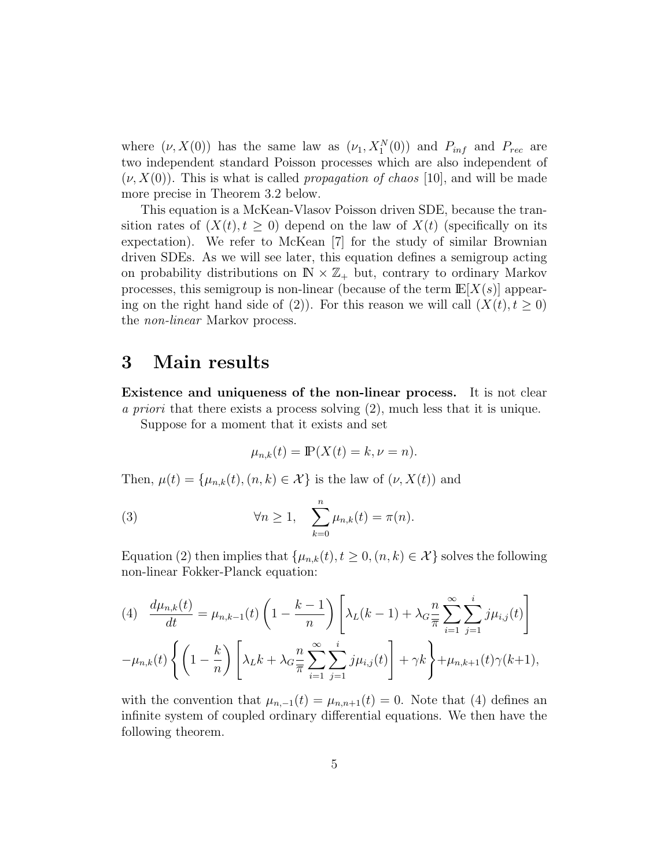where  $(\nu, X(0))$  has the same law as  $(\nu_1, X_1^N(0))$  and  $P_{inf}$  and  $P_{rec}$  are two independent standard Poisson processes which are also independent of  $(\nu, X(0))$ . This is what is called *propagation of chaos* [10], and will be made more precise in Theorem 3.2 below.

This equation is a McKean-Vlasov Poisson driven SDE, because the transition rates of  $(X(t), t \geq 0)$  depend on the law of  $X(t)$  (specifically on its expectation). We refer to McKean [7] for the study of similar Brownian driven SDEs. As we will see later, this equation defines a semigroup acting on probability distributions on  $\mathbb{N} \times \mathbb{Z}_+$  but, contrary to ordinary Markov processes, this semigroup is non-linear (because of the term  $\mathbb{E}[X(s)]$  appearing on the right hand side of (2)). For this reason we will call  $(X(t), t \ge 0)$ the non-linear Markov process.

### 3 Main results

Existence and uniqueness of the non-linear process. It is not clear a priori that there exists a process solving (2), much less that it is unique.

Suppose for a moment that it exists and set

$$
\mu_{n,k}(t) = \mathbb{P}(X(t) = k, \nu = n).
$$

Then,  $\mu(t) = {\mu_{n,k}(t), (n, k) \in \mathcal{X}}$  is the law of  $(\nu, X(t))$  and

(3) 
$$
\forall n \geq 1, \quad \sum_{k=0}^{n} \mu_{n,k}(t) = \pi(n).
$$

Equation (2) then implies that  $\{\mu_{n,k}(t), t \geq 0, (n,k) \in \mathcal{X}\}\)$  solves the following non-linear Fokker-Planck equation:

$$
(4) \frac{d\mu_{n,k}(t)}{dt} = \mu_{n,k-1}(t) \left( 1 - \frac{k-1}{n} \right) \left[ \lambda_L(k-1) + \lambda_G \frac{n}{\pi} \sum_{i=1}^{\infty} \sum_{j=1}^{i} j \mu_{i,j}(t) \right]
$$

$$
-\mu_{n,k}(t) \left\{ \left( 1 - \frac{k}{n} \right) \left[ \lambda_L k + \lambda_G \frac{n}{\pi} \sum_{i=1}^{\infty} \sum_{j=1}^{i} j \mu_{i,j}(t) \right] + \gamma k \right\} + \mu_{n,k+1}(t) \gamma(k+1),
$$

with the convention that  $\mu_{n,-1}(t) = \mu_{n,n+1}(t) = 0$ . Note that (4) defines an infinite system of coupled ordinary differential equations. We then have the following theorem.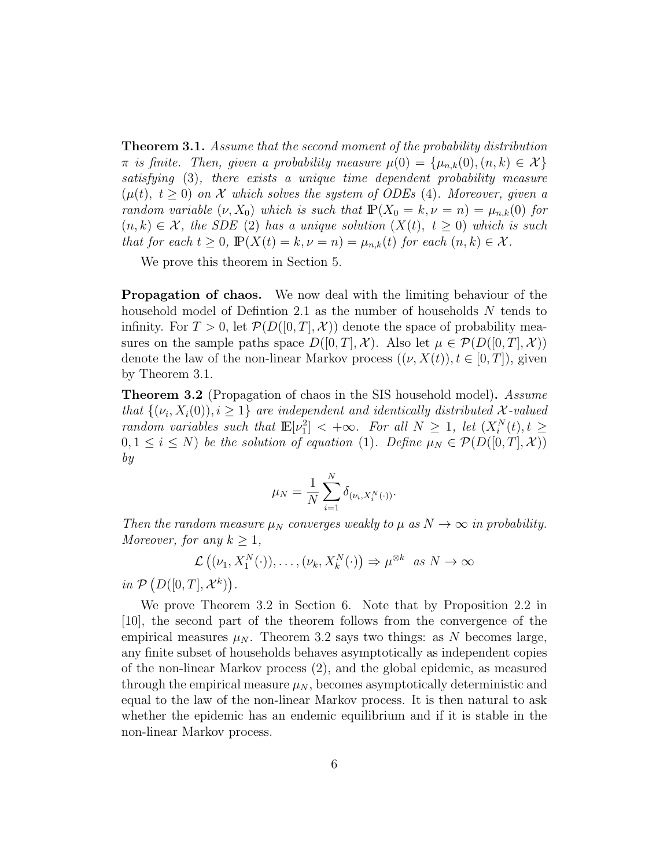**Theorem 3.1.** Assume that the second moment of the probability distribution  $\pi$  is finite. Then, given a probability measure  $\mu(0) = {\mu_{n,k}(0), (n,k) \in \mathcal{X}}$ satisfying (3), there exists a unique time dependent probability measure  $(\mu(t), t \geq 0)$  on X which solves the system of ODEs (4). Moreover, given a random variable  $(\nu, X_0)$  which is such that  $\mathbb{P}(X_0 = k, \nu = n) = \mu_{n,k}(0)$  for  $(n, k) \in \mathcal{X}$ , the SDE (2) has a unique solution  $(X(t), t \geq 0)$  which is such that for each  $t \geq 0$ ,  $\mathbb{P}(X(t) = k, \nu = n) = \mu_{n,k}(t)$  for each  $(n, k) \in \mathcal{X}$ .

We prove this theorem in Section 5.

Propagation of chaos. We now deal with the limiting behaviour of the household model of Defintion 2.1 as the number of households N tends to infinity. For  $T > 0$ , let  $\mathcal{P}(D([0,T], \mathcal{X}))$  denote the space of probability measures on the sample paths space  $D([0,T],\mathcal{X})$ . Also let  $\mu \in \mathcal{P}(D([0,T],\mathcal{X}))$ denote the law of the non-linear Markov process  $((\nu, X(t)), t \in [0, T])$ , given by Theorem 3.1.

**Theorem 3.2** (Propagation of chaos in the SIS household model). Assume that  $\{(v_i, X_i(0)), i \geq 1\}$  are independent and identically distributed X-valued random variables such that  $\mathbb{E}[\nu_1^2] < +\infty$ . For all  $N \geq 1$ , let  $(X_i^N(t), t \geq 1)$  $0, 1 \leq i \leq N$ ) be the solution of equation (1). Define  $\mu_N \in \mathcal{P}(D([0,T], \mathcal{X}))$ by

$$
\mu_N = \frac{1}{N} \sum_{i=1}^N \delta_{(\nu_i, X_i^N(\cdot))}.
$$

Then the random measure  $\mu_N$  converges weakly to  $\mu$  as  $N \to \infty$  in probability. Moreover, for any  $k \geq 1$ ,

$$
\mathcal{L}((\nu_1, X_1^N(\cdot)), \ldots, (\nu_k, X_k^N(\cdot)) \Rightarrow \mu^{\otimes k} \text{ as } N \to \infty
$$

in  $\mathcal{P}(D([0,T],\mathcal{X}^k)).$ 

We prove Theorem 3.2 in Section 6. Note that by Proposition 2.2 in [10], the second part of the theorem follows from the convergence of the empirical measures  $\mu_N$ . Theorem 3.2 says two things: as N becomes large, any finite subset of households behaves asymptotically as independent copies of the non-linear Markov process (2), and the global epidemic, as measured through the empirical measure  $\mu_N$ , becomes asymptotically deterministic and equal to the law of the non-linear Markov process. It is then natural to ask whether the epidemic has an endemic equilibrium and if it is stable in the non-linear Markov process.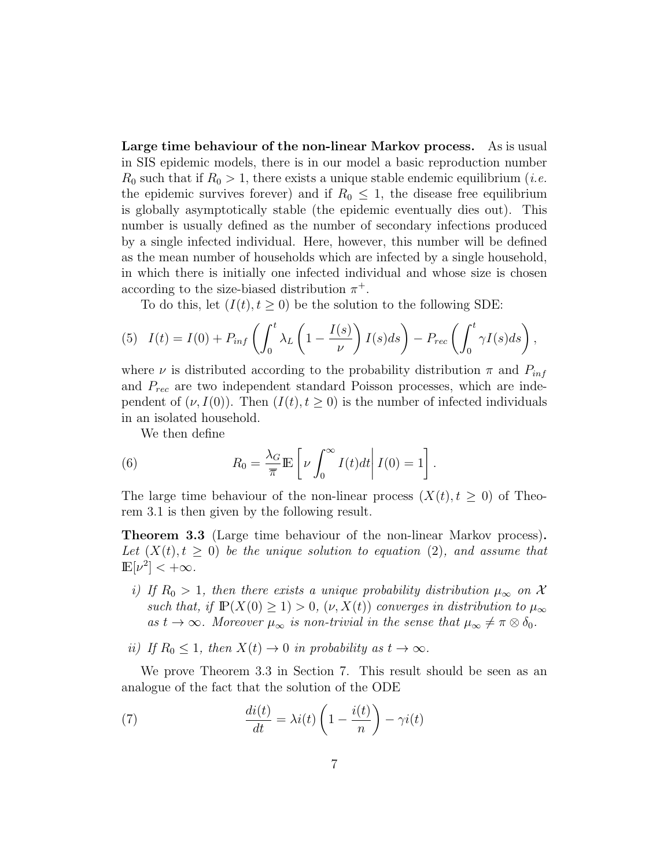Large time behaviour of the non-linear Markov process. As is usual in SIS epidemic models, there is in our model a basic reproduction number  $R_0$  such that if  $R_0 > 1$ , there exists a unique stable endemic equilibrium (*i.e.* the epidemic survives forever) and if  $R_0 \leq 1$ , the disease free equilibrium is globally asymptotically stable (the epidemic eventually dies out). This number is usually defined as the number of secondary infections produced by a single infected individual. Here, however, this number will be defined as the mean number of households which are infected by a single household, in which there is initially one infected individual and whose size is chosen according to the size-biased distribution  $\pi^+$ .

To do this, let  $(I(t), t \geq 0)$  be the solution to the following SDE:

(5) 
$$
I(t) = I(0) + P_{inf} \left( \int_0^t \lambda_L \left( 1 - \frac{I(s)}{\nu} \right) I(s) ds \right) - P_{rec} \left( \int_0^t \gamma I(s) ds \right),
$$

where  $\nu$  is distributed according to the probability distribution  $\pi$  and  $P_{inf}$ and  $P_{rec}$  are two independent standard Poisson processes, which are independent of  $(\nu, I(0))$ . Then  $(I(t), t \geq 0)$  is the number of infected individuals in an isolated household.

We then define

(6) 
$$
R_0 = \frac{\lambda_G}{\overline{\pi}} \mathbb{E}\left[\nu \int_0^\infty I(t)dt \middle| I(0) = 1\right].
$$

The large time behaviour of the non-linear process  $(X(t), t \geq 0)$  of Theorem 3.1 is then given by the following result.

Theorem 3.3 (Large time behaviour of the non-linear Markov process). Let  $(X(t), t > 0)$  be the unique solution to equation (2), and assume that  $\mathbb{E}[\nu^2]<+\infty$ .

- i) If  $R_0 > 1$ , then there exists a unique probability distribution  $\mu_{\infty}$  on X such that, if  $\mathbb{P}(X(0) \geq 1) > 0$ ,  $(\nu, X(t))$  converges in distribution to  $\mu_{\infty}$ as  $t \to \infty$ . Moreover  $\mu_{\infty}$  is non-trivial in the sense that  $\mu_{\infty} \neq \pi \otimes \delta_0$ .
- ii) If  $R_0 \leq 1$ , then  $X(t) \to 0$  in probability as  $t \to \infty$ .

We prove Theorem 3.3 in Section 7. This result should be seen as an analogue of the fact that the solution of the ODE

(7) 
$$
\frac{di(t)}{dt} = \lambda i(t) \left( 1 - \frac{i(t)}{n} \right) - \gamma i(t)
$$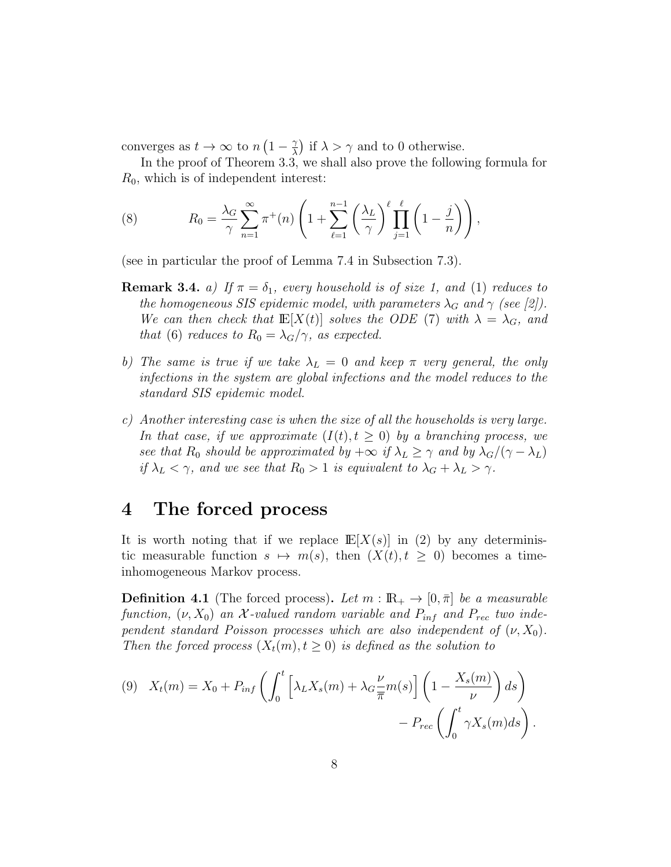converges as  $t \to \infty$  to  $n(1-\frac{\gamma}{\lambda})$  $\left(\frac{\gamma}{\lambda}\right)$  if  $\lambda > \gamma$  and to 0 otherwise.

In the proof of Theorem 3.3, we shall also prove the following formula for  $R_0$ , which is of independent interest:

(8) 
$$
R_0 = \frac{\lambda_G}{\gamma} \sum_{n=1}^{\infty} \pi^+(n) \left(1 + \sum_{\ell=1}^{n-1} \left(\frac{\lambda_L}{\gamma}\right)^{\ell} \prod_{j=1}^{\ell} \left(1 - \frac{j}{n}\right)\right),
$$

(see in particular the proof of Lemma 7.4 in Subsection 7.3).

- **Remark 3.4.** a) If  $\pi = \delta_1$ , every household is of size 1, and (1) reduces to the homogeneous SIS epidemic model, with parameters  $\lambda_G$  and  $\gamma$  (see [2]). We can then check that  $\mathbb{E}[X(t)]$  solves the ODE (7) with  $\lambda = \lambda_G$ , and that (6) reduces to  $R_0 = \lambda_G/\gamma$ , as expected.
- b) The same is true if we take  $\lambda_L = 0$  and keep  $\pi$  very general, the only infections in the system are global infections and the model reduces to the standard SIS epidemic model.
- c) Another interesting case is when the size of all the households is very large. In that case, if we approximate  $(I(t), t \geq 0)$  by a branching process, we see that R<sub>0</sub> should be approximated by  $+\infty$  if  $\lambda_L \geq \gamma$  and by  $\lambda_G/(\gamma - \lambda_L)$ if  $\lambda_L < \gamma$ , and we see that  $R_0 > 1$  is equivalent to  $\lambda_G + \lambda_L > \gamma$ .

## 4 The forced process

It is worth noting that if we replace  $\mathbb{E}[X(s)]$  in (2) by any deterministic measurable function  $s \mapsto m(s)$ , then  $(X(t), t \geq 0)$  becomes a timeinhomogeneous Markov process.

**Definition 4.1** (The forced process). Let  $m : \mathbb{R}_+ \to [0, \bar{\pi}]$  be a measurable function,  $(\nu, X_0)$  an X-valued random variable and  $P_{inf}$  and  $P_{rec}$  two independent standard Poisson processes which are also independent of  $(\nu, X_0)$ . Then the forced process  $(X_t(m), t \geq 0)$  is defined as the solution to

(9) 
$$
X_t(m) = X_0 + P_{inf} \left( \int_0^t \left[ \lambda_L X_s(m) + \lambda_G \frac{\nu}{\overline{\pi}} m(s) \right] \left( 1 - \frac{X_s(m)}{\nu} \right) ds \right)
$$
  
-  $P_{rec} \left( \int_0^t \gamma X_s(m) ds \right).$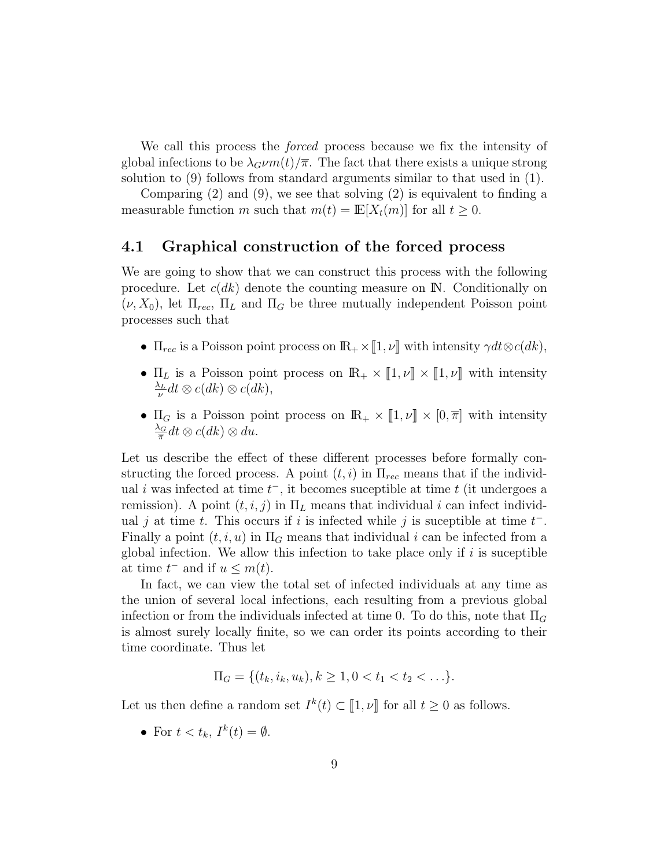We call this process the *forced* process because we fix the intensity of global infections to be  $\lambda_G \nu m(t)/\overline{\pi}$ . The fact that there exists a unique strong solution to (9) follows from standard arguments similar to that used in (1).

Comparing  $(2)$  and  $(9)$ , we see that solving  $(2)$  is equivalent to finding a measurable function m such that  $m(t) = \mathbb{E}[X_t(m)]$  for all  $t \geq 0$ .

### 4.1 Graphical construction of the forced process

We are going to show that we can construct this process with the following procedure. Let  $c(dk)$  denote the counting measure on  $\mathbb{N}$ . Conditionally on  $(\nu, X_0)$ , let  $\Pi_{rec}$ ,  $\Pi_L$  and  $\Pi_G$  be three mutually independent Poisson point processes such that

- $\Pi_{rec}$  is a Poisson point process on  $\mathbb{R}_+ \times [1, \nu]$  with intensity  $\gamma dt \otimes c(dk)$ ,
- $\Pi_L$  is a Poisson point process on  $\mathbb{R}_+ \times [\![1, \nu]\!] \times [\![1, \nu]\!]$  with intensity  $\frac{\lambda_L}{}$  $\frac{\partial L}{\partial \nu}dt \otimes c(dk) \otimes c(dk),$
- $\Pi_G$  is a Poisson point process on  $\mathbb{R}_+ \times [1, \nu] \times [0, \overline{\pi}]$  with intensity  $\frac{\lambda_G}{}$  $\frac{\Delta_G}{\pi} dt \otimes c(dk) \otimes du.$

Let us describe the effect of these different processes before formally constructing the forced process. A point  $(t, i)$  in  $\Pi_{rec}$  means that if the individual *i* was infected at time  $t^-$ , it becomes suceptible at time  $t$  (it undergoes a remission). A point  $(t, i, j)$  in  $\Pi_L$  means that individual i can infect individual j at time t. This occurs if i is infected while j is suceptible at time  $t^-$ . Finally a point  $(t, i, u)$  in  $\Pi_G$  means that individual i can be infected from a global infection. We allow this infection to take place only if  $i$  is suceptible at time  $t^-$  and if  $u \leq m(t)$ .

In fact, we can view the total set of infected individuals at any time as the union of several local infections, each resulting from a previous global infection or from the individuals infected at time 0. To do this, note that  $\Pi_G$ is almost surely locally finite, so we can order its points according to their time coordinate. Thus let

$$
\Pi_G = \{(t_k, i_k, u_k), k \geq 1, 0 < t_1 < t_2 < \ldots\}.
$$

Let us then define a random set  $I^k(t) \subset [1, \nu]$  for all  $t \geq 0$  as follows.

• For  $t < t_k$ ,  $I^k(t) = \emptyset$ .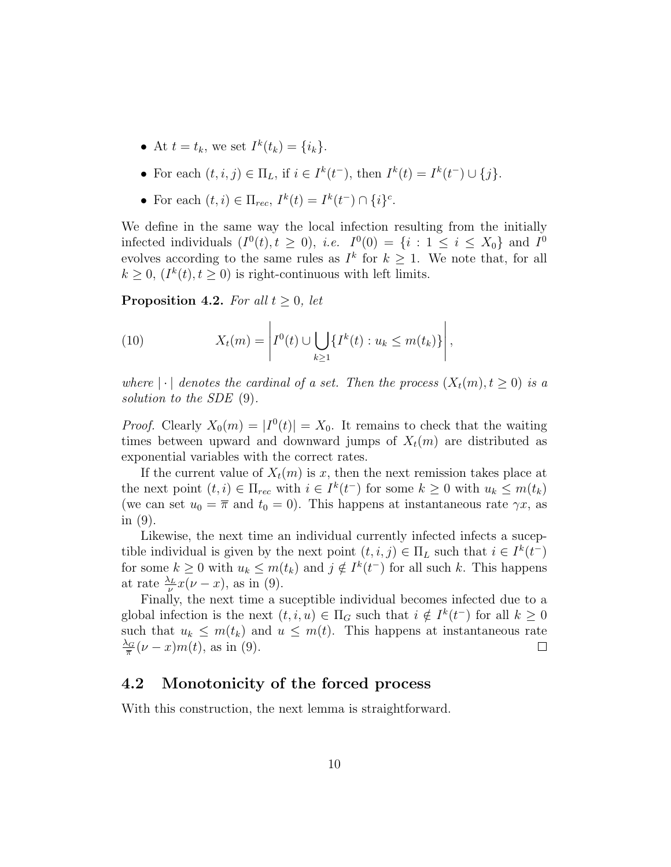- At  $t = t_k$ , we set  $I^k(t_k) = \{i_k\}.$
- For each  $(t, i, j) \in \Pi_L$ , if  $i \in I^k(t^-)$ , then  $I^k(t) = I^k(t^-) \cup \{j\}$ .
- For each  $(t, i) \in \Pi_{rec}, I^k(t) = I^k(t^-) \cap \{i\}^c$ .

We define in the same way the local infection resulting from the initially infected individuals  $(I^0(t), t \ge 0)$ , *i.e.*  $I^0(0) = \{i : 1 \le i \le X_0\}$  and  $I^0$ evolves according to the same rules as  $I^k$  for  $k \geq 1$ . We note that, for all  $k \geq 0$ ,  $(I^k(t), t \geq 0)$  is right-continuous with left limits.

**Proposition 4.2.** For all  $t \geq 0$ , let

(10) 
$$
X_t(m) = \left| I^0(t) \cup \bigcup_{k \geq 1} \{ I^k(t) : u_k \leq m(t_k) \} \right|,
$$

where  $|\cdot|$  denotes the cardinal of a set. Then the process  $(X_t(m), t \geq 0)$  is a solution to the SDE (9).

*Proof.* Clearly  $X_0(m) = |I^0(t)| = X_0$ . It remains to check that the waiting times between upward and downward jumps of  $X_t(m)$  are distributed as exponential variables with the correct rates.

If the current value of  $X_t(m)$  is x, then the next remission takes place at the next point  $(t, i) \in \Pi_{rec}$  with  $i \in I^k(t^-)$  for some  $k \geq 0$  with  $u_k \leq m(t_k)$ (we can set  $u_0 = \overline{\pi}$  and  $t_0 = 0$ ). This happens at instantaneous rate  $\gamma x$ , as in (9).

Likewise, the next time an individual currently infected infects a suceptible individual is given by the next point  $(t, i, j) \in \Pi_L$  such that  $i \in I^k(t^-)$ for some  $k \geq 0$  with  $u_k \leq m(t_k)$  and  $j \notin I^k(t^-)$  for all such k. This happens at rate  $\frac{\lambda_L}{\nu}x(\nu-x)$ , as in (9).

Finally, the next time a suceptible individual becomes infected due to a global infection is the next  $(t, i, u) \in \Pi_G$  such that  $i \notin I^k(t^-)$  for all  $k \geq 0$ such that  $u_k \leq m(t_k)$  and  $u \leq m(t)$ . This happens at instantaneous rate  $\frac{\lambda_G}{}$  $\frac{\Delta_G}{\pi}(\nu-x)m(t)$ , as in (9).  $\Box$ 

### 4.2 Monotonicity of the forced process

With this construction, the next lemma is straightforward.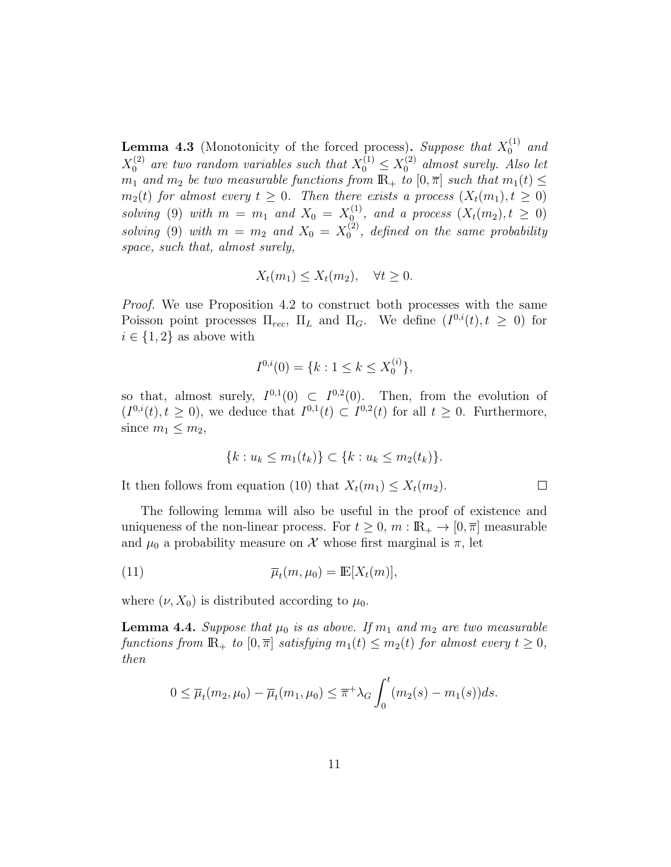**Lemma 4.3** (Monotonicity of the forced process). Suppose that  $X_0^{(1)}$  and  $X_0^{(2)}$  are two random variables such that  $X_0^{(1)} \leq X_0^{(2)}$  almost surely. Also let  $m_1$  and  $m_2$  be two measurable functions from  $\mathbb{R}_+$  to  $[0, \overline{\pi}]$  such that  $m_1(t) \leq$  $m_2(t)$  for almost every  $t \geq 0$ . Then there exists a process  $(X_t(m_1), t \geq 0)$ solving (9) with  $m = m_1$  and  $X_0 = X_0^{(1)}$  $\binom{1}{0}$ , and a process  $(X_t(m_2), t \geq 0)$ solving (9) with  $m = m_2$  and  $X_0 = X_0^{(2)}$  $_0^{(2)}$ , defined on the same probability space, such that, almost surely,

$$
X_t(m_1) \le X_t(m_2), \quad \forall t \ge 0.
$$

Proof. We use Proposition 4.2 to construct both processes with the same Poisson point processes  $\Pi_{rec}$ ,  $\Pi_L$  and  $\Pi_G$ . We define  $(I^{0,i}(t), t \geq 0)$  for  $i \in \{1,2\}$  as above with

$$
I^{0,i}(0) = \{k : 1 \le k \le X_0^{(i)}\},\
$$

so that, almost surely,  $I^{0,1}(0) \subset I^{0,2}(0)$ . Then, from the evolution of  $(I^{0,i}(t), t \geq 0)$ , we deduce that  $I^{0,1}(t) \subset I^{0,2}(t)$  for all  $t \geq 0$ . Furthermore, since  $m_1 \leq m_2$ ,

$$
\{k: u_k \le m_1(t_k)\} \subset \{k: u_k \le m_2(t_k)\}.
$$

 $\Box$ 

It then follows from equation (10) that  $X_t(m_1) \leq X_t(m_2)$ .

The following lemma will also be useful in the proof of existence and uniqueness of the non-linear process. For  $t \geq 0$ ,  $m : \mathbb{R}_+ \to [0, \overline{\pi}]$  measurable and  $\mu_0$  a probability measure on X whose first marginal is  $\pi$ , let

(11) 
$$
\overline{\mu}_t(m,\mu_0) = \mathbb{E}[X_t(m)],
$$

where  $(\nu, X_0)$  is distributed according to  $\mu_0$ .

**Lemma 4.4.** Suppose that  $\mu_0$  is as above. If  $m_1$  and  $m_2$  are two measurable functions from  $\mathbb{R}_+$  to  $[0, \overline{\pi}]$  satisfying  $m_1(t) \leq m_2(t)$  for almost every  $t \geq 0$ , then

$$
0 \leq \overline{\mu}_t(m_2, \mu_0) - \overline{\mu}_t(m_1, \mu_0) \leq \overline{\pi}^+ \lambda_G \int_0^t (m_2(s) - m_1(s)) ds.
$$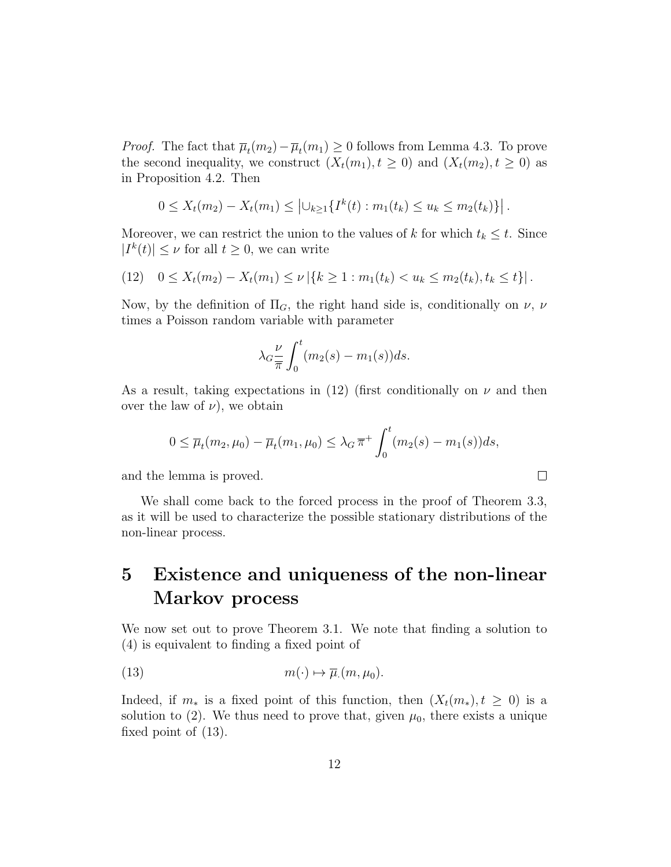*Proof.* The fact that  $\overline{\mu}_t(m_2) - \overline{\mu}_t(m_1) \geq 0$  follows from Lemma 4.3. To prove the second inequality, we construct  $(X_t(m_1), t \geq 0)$  and  $(X_t(m_2), t \geq 0)$  as in Proposition 4.2. Then

$$
0 \leq X_t(m_2) - X_t(m_1) \leq \left| \bigcup_{k \geq 1} \{ I^k(t) : m_1(t_k) \leq u_k \leq m_2(t_k) \} \right|.
$$

Moreover, we can restrict the union to the values of k for which  $t_k \leq t$ . Since  $|I^k(t)| \leq \nu$  for all  $t \geq 0$ , we can write

$$
(12) \quad 0 \le X_t(m_2) - X_t(m_1) \le \nu \left| \{ k \ge 1 : m_1(t_k) < u_k \le m_2(t_k), t_k \le t \} \right|.
$$

Now, by the definition of  $\Pi_G$ , the right hand side is, conditionally on  $\nu$ ,  $\nu$ times a Poisson random variable with parameter

$$
\lambda_G \frac{\nu}{\pi} \int_0^t (m_2(s) - m_1(s)) ds.
$$

As a result, taking expectations in (12) (first conditionally on  $\nu$  and then over the law of  $\nu$ , we obtain

$$
0 \le \overline{\mu}_t(m_2, \mu_0) - \overline{\mu}_t(m_1, \mu_0) \le \lambda_G \overline{\pi}^+ \int_0^t (m_2(s) - m_1(s)) ds,
$$

 $\Box$ 

and the lemma is proved.

We shall come back to the forced process in the proof of Theorem 3.3, as it will be used to characterize the possible stationary distributions of the non-linear process.

## 5 Existence and uniqueness of the non-linear Markov process

We now set out to prove Theorem 3.1. We note that finding a solution to (4) is equivalent to finding a fixed point of

(13) 
$$
m(\cdot) \mapsto \overline{\mu}(m, \mu_0).
$$

Indeed, if  $m_*$  is a fixed point of this function, then  $(X_t(m_*), t \geq 0)$  is a solution to (2). We thus need to prove that, given  $\mu_0$ , there exists a unique fixed point of (13).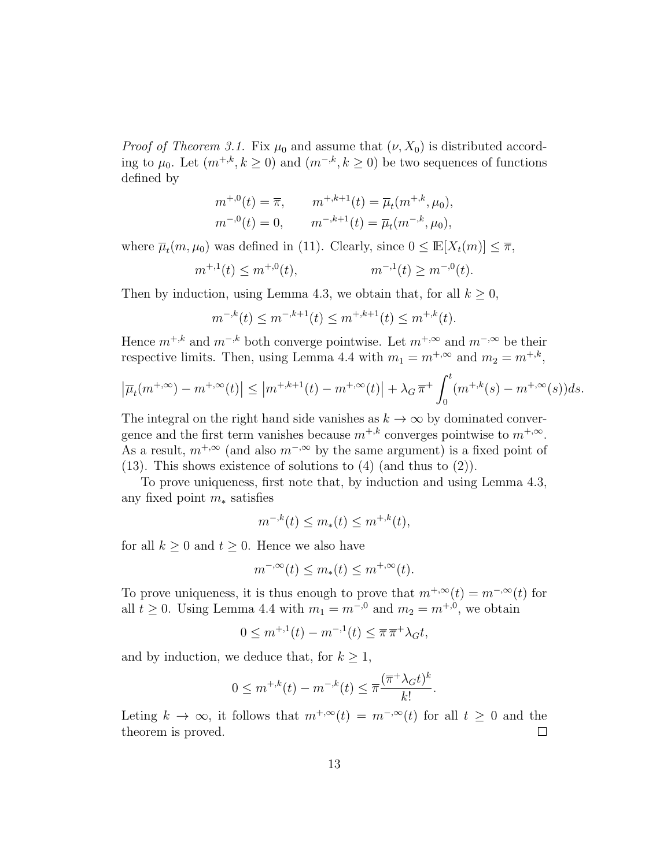*Proof of Theorem 3.1.* Fix  $\mu_0$  and assume that  $(\nu, X_0)$  is distributed according to  $\mu_0$ . Let  $(m^{+,k}, k \ge 0)$  and  $(m^{-,k}, k \ge 0)$  be two sequences of functions defined by

$$
m^{+,0}(t) = \overline{\pi}, \qquad m^{+,k+1}(t) = \overline{\mu}_t(m^{+,k}, \mu_0),
$$
  

$$
m^{-,0}(t) = 0, \qquad m^{-,k+1}(t) = \overline{\mu}_t(m^{-,k}, \mu_0),
$$

where  $\overline{\mu}_t(m, \mu_0)$  was defined in (11). Clearly, since  $0 \leq \mathbb{E}[X_t(m)] \leq \overline{\pi}$ ,

$$
m^{+,1}(t) \le m^{+,0}(t), \qquad m^{-,1}(t) \ge m^{-,0}(t).
$$

Then by induction, using Lemma 4.3, we obtain that, for all  $k \geq 0$ ,

$$
m^{-,k}(t) \le m^{-,k+1}(t) \le m^{+,k+1}(t) \le m^{+,k}(t).
$$

Hence  $m^{+,k}$  and  $m^{-,k}$  both converge pointwise. Let  $m^{+,\infty}$  and  $m^{-,\infty}$  be their respective limits. Then, using Lemma 4.4 with  $m_1 = m^{+,\infty}$  and  $m_2 = m^{+,k}$ ,

$$
\left|\overline{\mu}_t(m^{+,\infty}) - m^{+,\infty}(t)\right| \le \left|m^{+,k+1}(t) - m^{+,\infty}(t)\right| + \lambda_G \overline{\pi}^+ \int_0^t (m^{+,k}(s) - m^{+,\infty}(s))ds.
$$

The integral on the right hand side vanishes as  $k \to \infty$  by dominated convergence and the first term vanishes because  $m^{+,k}$  converges pointwise to  $m^{+,\infty}$ . As a result,  $m^{+,\infty}$  (and also  $m^{-,\infty}$  by the same argument) is a fixed point of (13). This shows existence of solutions to (4) (and thus to (2)).

To prove uniqueness, first note that, by induction and using Lemma 4.3, any fixed point  $m_*$  satisfies

$$
m^{-,k}(t) \le m_*(t) \le m^{+,k}(t),
$$

for all  $k \geq 0$  and  $t \geq 0$ . Hence we also have

$$
m^{-,\infty}(t) \le m_*(t) \le m^{+,\infty}(t).
$$

To prove uniqueness, it is thus enough to prove that  $m^{+,\infty}(t) = m^{-,\infty}(t)$  for all  $t \geq 0$ . Using Lemma 4.4 with  $m_1 = m^{-0}$  and  $m_2 = m^{+,0}$ , we obtain

$$
0 \le m^{+,1}(t) - m^{-,1}(t) \le \overline{\pi} \, \overline{\pi}^+ \lambda_G t,
$$

and by induction, we deduce that, for  $k \geq 1$ ,

$$
0 \le m^{+,k}(t) - m^{-,k}(t) \le \overline{\pi} \frac{(\overline{\pi}^+ \lambda_G t)^k}{k!}.
$$

Leting  $k \to \infty$ , it follows that  $m^{+,\infty}(t) = m^{-,\infty}(t)$  for all  $t \geq 0$  and the theorem is proved.  $\Box$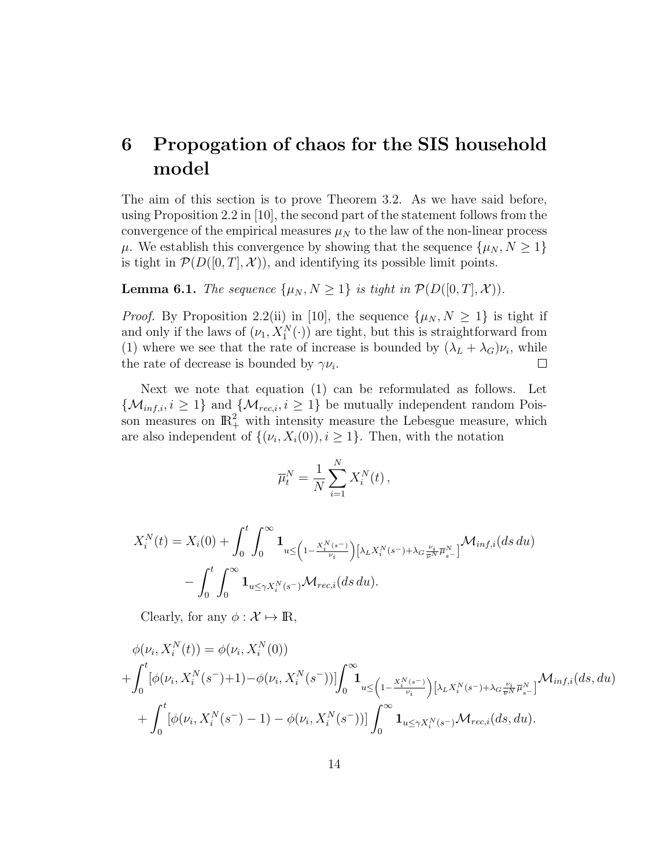## 6 Propogation of chaos for the SIS household model

The aim of this section is to prove Theorem 3.2. As we have said before, using Proposition 2.2 in [10], the second part of the statement follows from the convergence of the empirical measures  $\mu_N$  to the law of the non-linear process  $\mu$ . We establish this convergence by showing that the sequence  $\{\mu_N, N \geq 1\}$ is tight in  $\mathcal{P}(D([0,T],\mathcal{X}))$ , and identifying its possible limit points.

**Lemma 6.1.** The sequence  $\{\mu_N, N \geq 1\}$  is tight in  $\mathcal{P}(D([0, T], \mathcal{X}))$ .

*Proof.* By Proposition 2.2(ii) in [10], the sequence  $\{\mu_N, N \geq 1\}$  is tight if and only if the laws of  $(\nu_1, X_1^N(\cdot))$  are tight, but this is straightforward from (1) where we see that the rate of increase is bounded by  $(\lambda_L + \lambda_G)\nu_i$ , while the rate of decrease is bounded by  $\gamma \nu_i$ .  $\Box$ 

Next we note that equation (1) can be reformulated as follows. Let  $\{\mathcal{M}_{inf,i}, i \geq 1\}$  and  $\{\mathcal{M}_{rec,i}, i \geq 1\}$  be mutually independent random Poisson measures on  $\mathbb{R}^2_+$  with intensity measure the Lebesgue measure, which are also independent of  $\{(\nu_i, X_i(0)), i \geq 1\}$ . Then, with the notation

$$
\overline{\mu}_t^N = \frac{1}{N} \sum_{i=1}^N X_i^N(t) \,,
$$

$$
X_i^N(t) = X_i(0) + \int_0^t \int_0^\infty \mathbf{1}_{u \leq \left(1 - \frac{X_i^N(s^-)}{\nu_i}\right) \left[\lambda_L X_i^N(s^-) + \lambda_G \frac{\nu_i}{\overline{\nu}^N} \overline{\mu}_{s^-}^N\right]} \mathcal{M}_{inf,i}(ds \, du)
$$

$$
- \int_0^t \int_0^\infty \mathbf{1}_{u \leq \gamma X_i^N(s^-)} \mathcal{M}_{rec,i}(ds \, du).
$$

Clearly, for any  $\phi : \mathcal{X} \mapsto \mathbb{R}$ ,

$$
\phi(\nu_i, X_i^N(t)) = \phi(\nu_i, X_i^N(0))
$$
  
+ 
$$
\int_0^t [\phi(\nu_i, X_i^N(s^-) + 1) - \phi(\nu_i, X_i^N(s^-))] \int_0^\infty \mathbf{1}_{u \leq \left(1 - \frac{X_i^N(s^-)}{\nu_i}\right) [\lambda_L X_i^N(s^-) + \lambda_G \frac{\nu_i}{\overline{\nu}^N} \overline{\mu}_{s^-}^N]} \mathcal{M}_{inf,i}(ds, du)
$$
  
+ 
$$
\int_0^t [\phi(\nu_i, X_i^N(s^-) - 1) - \phi(\nu_i, X_i^N(s^-))] \int_0^\infty \mathbf{1}_{u \leq \gamma X_i^N(s^-)} \mathcal{M}_{rec,i}(ds, du).
$$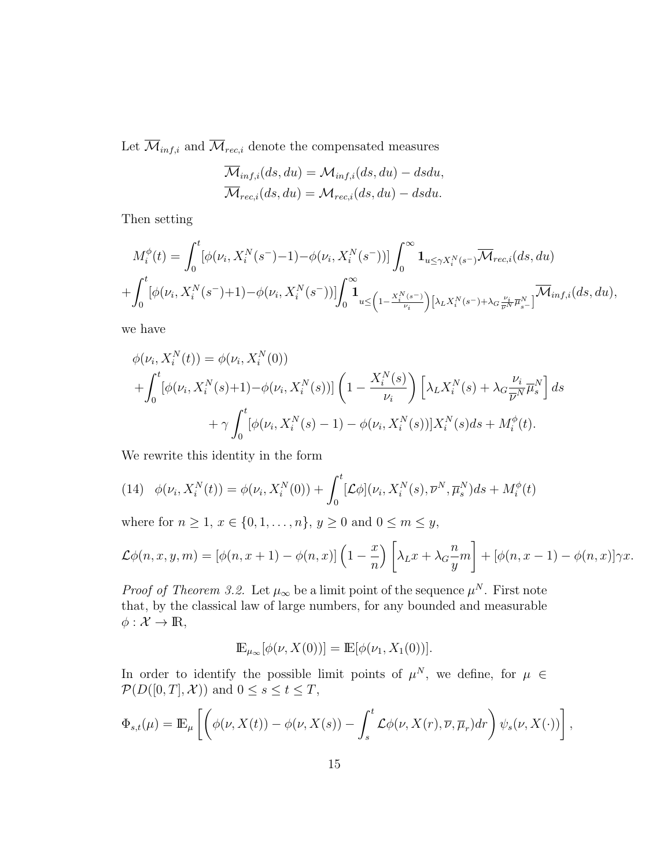Let  $\overline{\mathcal{M}}_{inf,i}$  and  $\overline{\mathcal{M}}_{rec,i}$  denote the compensated measures

$$
\overline{\mathcal{M}}_{inf,i}(ds, du) = \mathcal{M}_{inf,i}(ds, du) - dsdu,
$$
  

$$
\overline{\mathcal{M}}_{rec,i}(ds, du) = \mathcal{M}_{rec,i}(ds, du) - dsdu.
$$

Then setting

$$
M_i^{\phi}(t) = \int_0^t [\phi(\nu_i, X_i^N(s^-) - 1) - \phi(\nu_i, X_i^N(s^-))] \int_0^\infty \mathbf{1}_{u \le \gamma X_i^N(s^-)} \overline{\mathcal{M}}_{rec,i}(ds, du)
$$
  
+ 
$$
\int_0^t [\phi(\nu_i, X_i^N(s^-) + 1) - \phi(\nu_i, X_i^N(s^-))] \int_0^\infty \mathbf{1}_{u \le \left(1 - \frac{X_i^N(s^-)}{\nu_i}\right) [\lambda_L X_i^N(s^-) + \lambda_G \frac{\nu_i}{\overline{\nu}^N} \overline{\mu}_{s^-}^N]} \overline{\mathcal{M}}_{inf,i}(ds, du),
$$

we have

$$
\phi(\nu_i, X_i^N(t)) = \phi(\nu_i, X_i^N(0)) + \int_0^t [\phi(\nu_i, X_i^N(s) + 1) - \phi(\nu_i, X_i^N(s))] \left(1 - \frac{X_i^N(s)}{\nu_i}\right) \left[\lambda_L X_i^N(s) + \lambda_G \frac{\nu_i}{\overline{\nu}^N} \overline{\mu}_s^N\right] ds + \gamma \int_0^t [\phi(\nu_i, X_i^N(s) - 1) - \phi(\nu_i, X_i^N(s))] X_i^N(s) ds + M_i^{\phi}(t).
$$

We rewrite this identity in the form

(14) 
$$
\phi(\nu_i, X_i^N(t)) = \phi(\nu_i, X_i^N(0)) + \int_0^t [\mathcal{L}\phi](\nu_i, X_i^N(s), \overline{\nu}^N, \overline{\mu}_s^N) ds + M_i^{\phi}(t)
$$

where for  $n \ge 1, x \in \{0, 1, ..., n\}, y \ge 0$  and  $0 \le m \le y$ ,

$$
\mathcal{L}\phi(n,x,y,m) = [\phi(n,x+1) - \phi(n,x)]\left(1 - \frac{x}{n}\right)\left[\lambda_L x + \lambda_G \frac{n}{y}m\right] + [\phi(n,x-1) - \phi(n,x)]\gamma x.
$$

*Proof of Theorem 3.2.* Let  $\mu_{\infty}$  be a limit point of the sequence  $\mu^{N}$ . First note that, by the classical law of large numbers, for any bounded and measurable  $\phi: \mathcal{X} \to \mathbb{R},$ 

$$
\mathbb{E}_{\mu_{\infty}}[\phi(\nu, X(0))] = \mathbb{E}[\phi(\nu_1, X_1(0))].
$$

In order to identify the possible limit points of  $\mu^N$ , we define, for  $\mu \in$  $\mathcal{P}(D([0,T],\mathcal{X}))$  and  $0 \leq s \leq t \leq T$ ,

$$
\Phi_{s,t}(\mu) = \mathbb{E}_{\mu} \left[ \left( \phi(\nu, X(t)) - \phi(\nu, X(s)) - \int_s^t \mathcal{L}\phi(\nu, X(r), \overline{\nu}, \overline{\mu}_r) dr \right) \psi_s(\nu, X(\cdot)) \right],
$$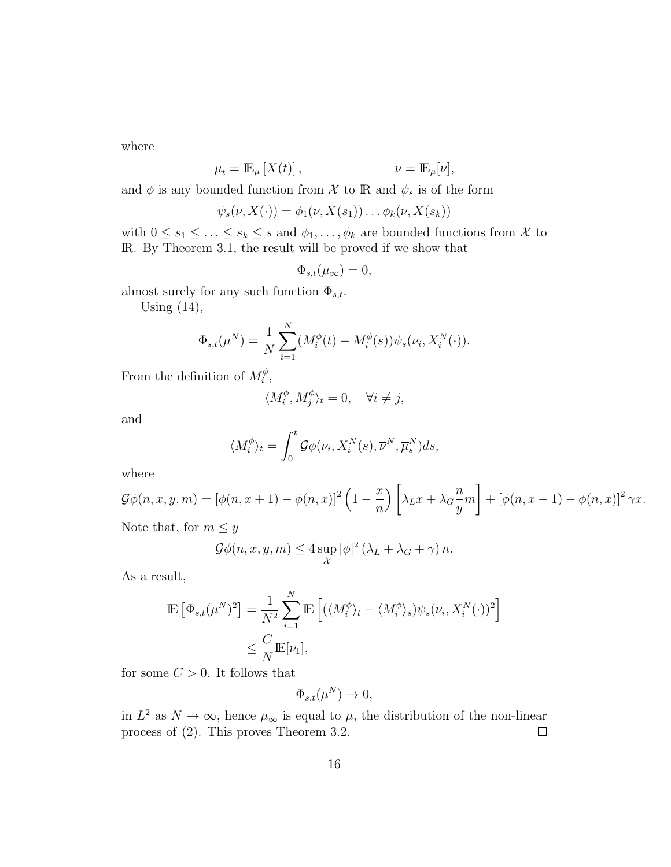where

$$
\overline{\mu}_t = \mathbb{E}_{\mu} \left[ X(t) \right], \qquad \qquad \overline{\nu} = \mathbb{E}_{\mu} [\nu],
$$

and  $\phi$  is any bounded function from  $\mathcal X$  to  $\mathbb R$  and  $\psi_s$  is of the form

$$
\psi_s(\nu, X(\cdot)) = \phi_1(\nu, X(s_1)) \dots \phi_k(\nu, X(s_k))
$$

with  $0 \le s_1 \le \ldots \le s_k \le s$  and  $\phi_1, \ldots, \phi_k$  are bounded functions from  $\mathcal X$  to IR. By Theorem 3.1, the result will be proved if we show that

$$
\Phi_{s,t}(\mu_\infty)=0,
$$

almost surely for any such function  $\Phi_{s,t}$ .

Using (14),

$$
\Phi_{s,t}(\mu^N) = \frac{1}{N} \sum_{i=1}^N (M_i^{\phi}(t) - M_i^{\phi}(s)) \psi_s(\nu_i, X_i^N(\cdot)).
$$

From the definition of  $M_i^{\phi}$  $_{i}^{\phi}$ ,

$$
\langle M_i^{\phi}, M_j^{\phi} \rangle_t = 0, \quad \forall i \neq j,
$$

and

$$
\langle M_i^{\phi} \rangle_t = \int_0^t \mathcal{G} \phi(\nu_i, X_i^N(s), \overline{\nu}^N, \overline{\mu}_s^N) ds,
$$

where

$$
\mathcal{G}\phi(n,x,y,m) = \left[\phi(n,x+1) - \phi(n,x)\right]^2 \left(1 - \frac{x}{n}\right) \left[\lambda_L x + \lambda_G \frac{n}{y}m\right] + \left[\phi(n,x-1) - \phi(n,x)\right]^2 \gamma x.
$$
  
Note that, for  $m \le y$ 

$$
\mathcal{G}\phi(n,x,y,m) \le 4\sup_{\mathcal{X}} |\phi|^2 (\lambda_L + \lambda_G + \gamma) n.
$$

As a result,

$$
\mathbb{E}\left[\Phi_{s,t}(\mu^N)^2\right] = \frac{1}{N^2} \sum_{i=1}^N \mathbb{E}\left[\left(\langle M_i^{\phi}\rangle_t - \langle M_i^{\phi}\rangle_s\right) \psi_s(\nu_i, X_i^N(\cdot))^2\right] \le \frac{C}{N} \mathbb{E}[\nu_1],
$$

for some  $C > 0$ . It follows that

$$
\Phi_{s,t}(\mu^N) \to 0,
$$

in  $L^2$  as  $N \to \infty$ , hence  $\mu_{\infty}$  is equal to  $\mu$ , the distribution of the non-linear process of (2). This proves Theorem 3.2.  $\Box$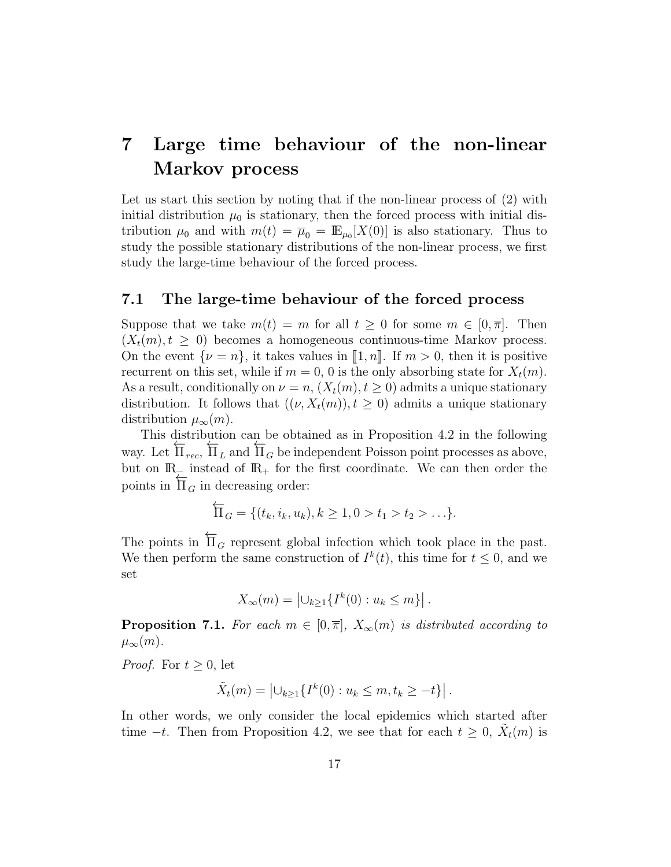## 7 Large time behaviour of the non-linear Markov process

Let us start this section by noting that if the non-linear process of (2) with initial distribution  $\mu_0$  is stationary, then the forced process with initial distribution  $\mu_0$  and with  $m(t) = \overline{\mu}_0 = \mathbb{E}_{\mu_0}[X(0)]$  is also stationary. Thus to study the possible stationary distributions of the non-linear process, we first study the large-time behaviour of the forced process.

#### 7.1 The large-time behaviour of the forced process

Suppose that we take  $m(t) = m$  for all  $t \geq 0$  for some  $m \in [0, \overline{\pi}]$ . Then  $(X_t(m), t \geq 0)$  becomes a homogeneous continuous-time Markov process. On the event  $\{\nu = n\}$ , it takes values in  $\llbracket 1, n \rrbracket$ . If  $m > 0$ , then it is positive recurrent on this set, while if  $m = 0, 0$  is the only absorbing state for  $X_t(m)$ . As a result, conditionally on  $\nu = n$ ,  $(X_t(m), t \geq 0)$  admits a unique stationary distribution. It follows that  $((\nu, X_t(m)), t > 0)$  admits a unique stationary distribution  $\mu_{\infty}(m)$ .

This distribution can be obtained as in Proposition 4.2 in the following way. Let ←−  $\Pi_{\mathit{rec}},$  $\frac{\mu}{\Pi}$  and  $\overline{\Pi}_G$  be independent Poisson point processes as above, but on  $\mathbb{R}_+$  instead of  $\mathbb{R}_+$  for the first coordinate. We can then order the points in ←−  $\Pi_G$  in decreasing order:

$$
\overleftarrow{\Pi}_G = \{ (t_k, i_k, u_k), k \ge 1, 0 > t_1 > t_2 > \ldots \}.
$$

The points in  $\overleftarrow{\Pi}_G$  represent global infection which took place in the past. We then perform the same construction of  $I^k(t)$ , this time for  $t \leq 0$ , and we set

$$
X_{\infty}(m) = \left| \bigcup_{k \geq 1} \{ I^k(0) : u_k \leq m \} \right|.
$$

**Proposition 7.1.** For each  $m \in [0, \overline{\pi}], X_{\infty}(m)$  is distributed according to  $\mu_{\infty}(m)$ .

*Proof.* For  $t \geq 0$ , let

$$
\tilde{X}_t(m) = |\cup_{k \ge 1} \{ I^k(0) : u_k \le m, t_k \ge -t \}|.
$$

In other words, we only consider the local epidemics which started after time  $-t$ . Then from Proposition 4.2, we see that for each  $t \geq 0$ ,  $\tilde{X}_t(m)$  is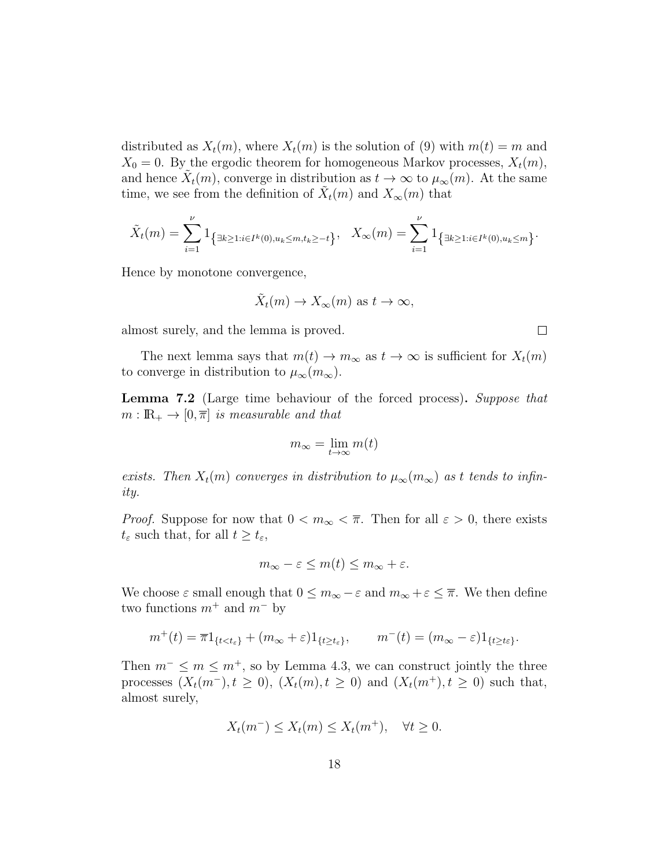distributed as  $X_t(m)$ , where  $X_t(m)$  is the solution of (9) with  $m(t) = m$  and  $X_0 = 0$ . By the ergodic theorem for homogeneous Markov processes,  $X_t(m)$ , and hence  $\tilde{X}_t(m)$ , converge in distribution as  $t \to \infty$  to  $\mu_\infty(m)$ . At the same time, we see from the definition of  $\tilde{X}_t(m)$  and  $X_\infty(m)$  that

$$
\tilde{X}_t(m) = \sum_{i=1}^{\nu} 1_{\left\{\exists k \ge 1 : i \in I^k(0), u_k \le m, t_k \ge -t\right\}}, \quad X_{\infty}(m) = \sum_{i=1}^{\nu} 1_{\left\{\exists k \ge 1 : i \in I^k(0), u_k \le m\right\}}.
$$

Hence by monotone convergence,

$$
\tilde{X}_t(m) \to X_\infty(m)
$$
 as  $t \to \infty$ ,

almost surely, and the lemma is proved.

The next lemma says that  $m(t) \to m_{\infty}$  as  $t \to \infty$  is sufficient for  $X_t(m)$ to converge in distribution to  $\mu_{\infty}(m_{\infty})$ .

Lemma 7.2 (Large time behaviour of the forced process). Suppose that  $m : \mathbb{R}_+ \to [0, \overline{\pi}]$  is measurable and that

$$
m_\infty = \lim_{t \to \infty} m(t)
$$

exists. Then  $X_t(m)$  converges in distribution to  $\mu_\infty(m_\infty)$  as t tends to infinity.

*Proof.* Suppose for now that  $0 < m_{\infty} < \overline{\pi}$ . Then for all  $\varepsilon > 0$ , there exists  $t_{\varepsilon}$  such that, for all  $t \geq t_{\varepsilon}$ ,

$$
m_{\infty}-\varepsilon\leq m(t)\leq m_{\infty}+\varepsilon.
$$

We choose  $\varepsilon$  small enough that  $0 \le m_\infty - \varepsilon$  and  $m_\infty + \varepsilon \le \overline{\pi}$ . We then define two functions  $m^+$  and  $m^-$  by

$$
m^+(t) = \overline{\pi}1_{\{t < t_{\varepsilon}\}} + (m_{\infty} + \varepsilon)1_{\{t \ge t_{\varepsilon}\}}, \qquad m^-(t) = (m_{\infty} - \varepsilon)1_{\{t \ge t_{\varepsilon}\}}.
$$

Then  $m^- \leq m \leq m^+$ , so by Lemma 4.3, we can construct jointly the three processes  $(X_t(m^-), t \geq 0)$ ,  $(X_t(m), t \geq 0)$  and  $(X_t(m^+), t \geq 0)$  such that, almost surely,

$$
X_t(m^-) \le X_t(m) \le X_t(m^+), \quad \forall t \ge 0.
$$

 $\Box$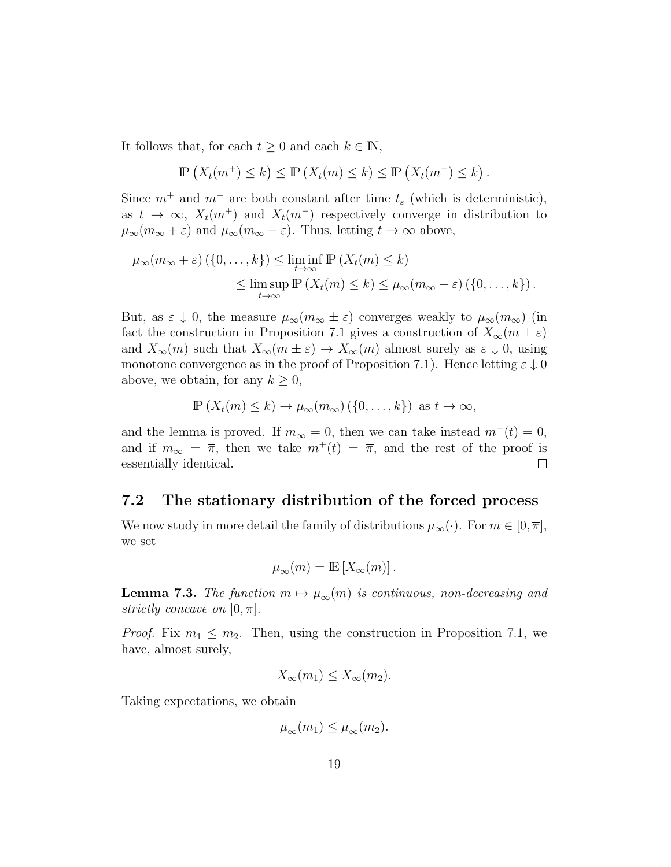It follows that, for each  $t \geq 0$  and each  $k \in \mathbb{N}$ ,

$$
\mathbb{P}\left(X_t(m^+) \leq k\right) \leq \mathbb{P}\left(X_t(m) \leq k\right) \leq \mathbb{P}\left(X_t(m^-) \leq k\right).
$$

Since  $m^+$  and  $m^-$  are both constant after time  $t_\varepsilon$  (which is deterministic), as  $t \to \infty$ ,  $X_t(m^+)$  and  $X_t(m^-)$  respectively converge in distribution to  $\mu_{\infty}(m_{\infty} + \varepsilon)$  and  $\mu_{\infty}(m_{\infty} - \varepsilon)$ . Thus, letting  $t \to \infty$  above,

$$
\mu_{\infty}(m_{\infty} + \varepsilon) \left( \{0, \dots, k\} \right) \le \liminf_{t \to \infty} \mathbb{P} \left( X_t(m) \le k \right) \le \limsup_{t \to \infty} \mathbb{P} \left( X_t(m) \le k \right) \le \mu_{\infty}(m_{\infty} - \varepsilon) \left( \{0, \dots, k\} \right).
$$

But, as  $\varepsilon \downarrow 0$ , the measure  $\mu_{\infty}(m_{\infty} \pm \varepsilon)$  converges weakly to  $\mu_{\infty}(m_{\infty})$  (in fact the construction in Proposition 7.1 gives a construction of  $X_{\infty}(m \pm \varepsilon)$ and  $X_{\infty}(m)$  such that  $X_{\infty}(m \pm \varepsilon) \to X_{\infty}(m)$  almost surely as  $\varepsilon \downarrow 0$ , using monotone convergence as in the proof of Proposition 7.1). Hence letting  $\varepsilon \downarrow 0$ above, we obtain, for any  $k \geq 0$ ,

$$
\mathbb{P}\left(X_t(m)\leq k\right)\to\mu_\infty(m_\infty)\left(\{0,\ldots,k\}\right)
$$
 as  $t\to\infty$ ,

and the lemma is proved. If  $m_{\infty} = 0$ , then we can take instead  $m^{-}(t) = 0$ , and if  $m_{\infty} = \overline{\pi}$ , then we take  $m^+(t) = \overline{\pi}$ , and the rest of the proof is essentially identical.  $\Box$ 

### 7.2 The stationary distribution of the forced process

We now study in more detail the family of distributions  $\mu_{\infty}(\cdot)$ . For  $m \in [0, \overline{\pi}],$ we set

$$
\overline{\mu}_{\infty}(m) = \mathbb{E}\left[X_{\infty}(m)\right].
$$

**Lemma 7.3.** The function  $m \mapsto \overline{\mu}_{\infty}(m)$  is continuous, non-decreasing and strictly concave on  $[0, \overline{\pi}]$ .

*Proof.* Fix  $m_1 \leq m_2$ . Then, using the construction in Proposition 7.1, we have, almost surely,

$$
X_{\infty}(m_1) \le X_{\infty}(m_2).
$$

Taking expectations, we obtain

$$
\overline{\mu}_{\infty}(m_1) \leq \overline{\mu}_{\infty}(m_2).
$$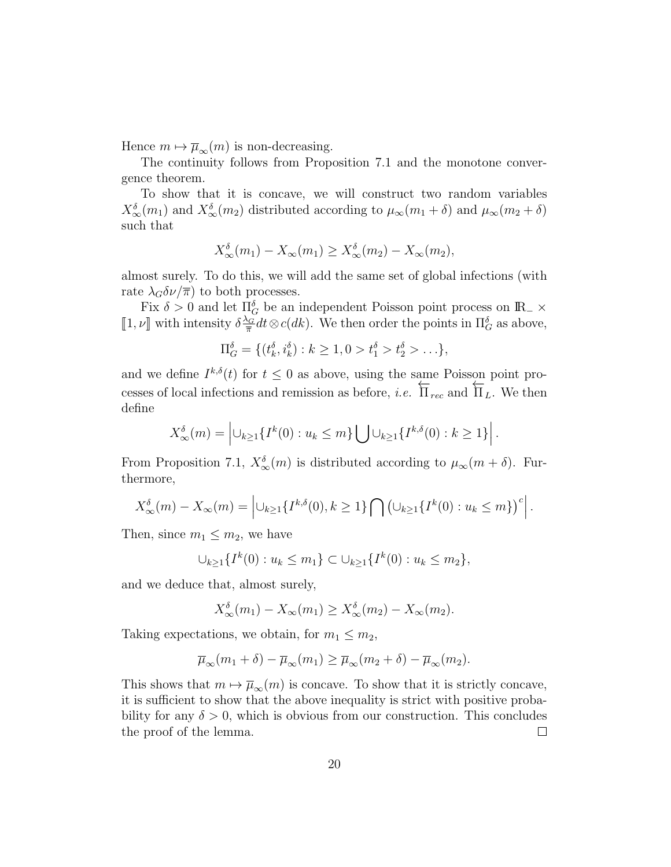Hence  $m \mapsto \overline{\mu}_{\infty}(m)$  is non-decreasing.

The continuity follows from Proposition 7.1 and the monotone convergence theorem.

To show that it is concave, we will construct two random variables  $X_{\infty}^{\delta}(m_1)$  and  $X_{\infty}^{\delta}(m_2)$  distributed according to  $\mu_{\infty}(m_1 + \delta)$  and  $\mu_{\infty}(m_2 + \delta)$ such that

$$
X_{\infty}^{\delta}(m_1) - X_{\infty}(m_1) \ge X_{\infty}^{\delta}(m_2) - X_{\infty}(m_2),
$$

almost surely. To do this, we will add the same set of global infections (with rate  $\lambda_G \delta \nu / \overline{\pi}$  to both processes.

Fix  $\delta > 0$  and let  $\Pi_G^{\delta}$  be an independent Poisson point process on  $\mathbb{R}_+ \times$ [1,  $\nu$ ] with intensity  $\delta \frac{\lambda_G}{\overline{\pi}}$  $\frac{\partial G}{\partial \pi} dt \otimes c(dk)$ . We then order the points in  $\Pi_G^{\delta}$  as above,

$$
\Pi_G^{\delta} = \{ (t_k^{\delta}, i_k^{\delta}) : k \ge 1, 0 > t_1^{\delta} > t_2^{\delta} > \ldots \},
$$

and we define  $I^{k,\delta}(t)$  for  $t \leq 0$  as above, using the same Poisson point processes of local infections and remission as before, i.e.  $\overleftarrow{\Pi}_{rec}$  and  $\overleftarrow{\Pi}_{L}$ . We then define

$$
X_{\infty}^{\delta}(m) = \left| \bigcup_{k \geq 1} \{I^k(0) : u_k \leq m\} \bigcup \bigcup_{k \geq 1} \{I^{k,\delta}(0) : k \geq 1\} \right|.
$$

From Proposition 7.1,  $X_{\infty}^{\delta}(m)$  is distributed according to  $\mu_{\infty}(m+\delta)$ . Furthermore,

$$
X_{\infty}^{\delta}(m) - X_{\infty}(m) = \left| \bigcup_{k \geq 1} \{ I^{k,\delta}(0), k \geq 1 \} \bigcap \left( \bigcup_{k \geq 1} \{ I^{k}(0) : u_k \leq m \} \right)^c \right|.
$$

Then, since  $m_1 \leq m_2$ , we have

$$
\bigcup_{k\geq 1}\{I^k(0):u_k\leq m_1\}\subset \bigcup_{k\geq 1}\{I^k(0):u_k\leq m_2\},\
$$

and we deduce that, almost surely,

$$
X_{\infty}^{\delta}(m_1) - X_{\infty}(m_1) \ge X_{\infty}^{\delta}(m_2) - X_{\infty}(m_2).
$$

Taking expectations, we obtain, for  $m_1 \leq m_2$ ,

$$
\overline{\mu}_{\infty}(m_1+\delta)-\overline{\mu}_{\infty}(m_1)\geq \overline{\mu}_{\infty}(m_2+\delta)-\overline{\mu}_{\infty}(m_2).
$$

This shows that  $m \mapsto \overline{\mu}_{\infty}(m)$  is concave. To show that it is strictly concave, it is sufficient to show that the above inequality is strict with positive probability for any  $\delta > 0$ , which is obvious from our construction. This concludes the proof of the lemma.  $\Box$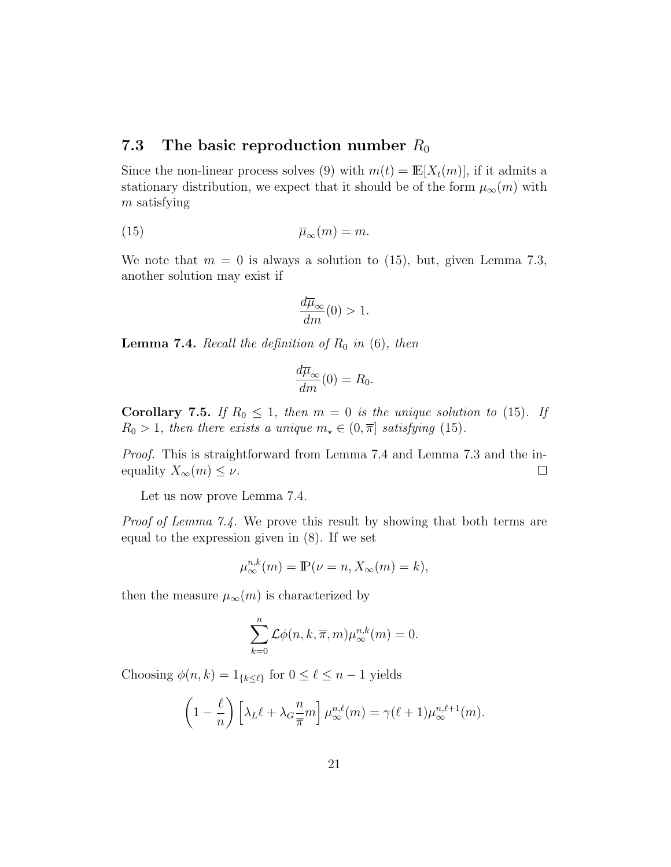### 7.3 The basic reproduction number  $R_0$

Since the non-linear process solves (9) with  $m(t) = \mathbb{E}[X_t(m)]$ , if it admits a stationary distribution, we expect that it should be of the form  $\mu_{\infty}(m)$  with m satisfying

$$
\overline{\mu}_{\infty}(m) = m.
$$

We note that  $m = 0$  is always a solution to (15), but, given Lemma 7.3, another solution may exist if

$$
\frac{d\overline{\mu}_{\infty}}{dm}(0) > 1.
$$

**Lemma 7.4.** Recall the definition of  $R_0$  in  $(6)$ , then

$$
\frac{d\overline{\mu}_{\infty}}{dm}(0) = R_0.
$$

Corollary 7.5. If  $R_0 \leq 1$ , then  $m = 0$  is the unique solution to (15). If  $R_0 > 1$ , then there exists a unique  $m_{\star} \in (0, \overline{\pi}]$  satisfying (15).

Proof. This is straightforward from Lemma 7.4 and Lemma 7.3 and the inequality  $X_{\infty}(m) \leq \nu$ .  $\Box$ 

Let us now prove Lemma 7.4.

*Proof of Lemma 7.4.* We prove this result by showing that both terms are equal to the expression given in (8). If we set

$$
\mu^{n,k}_{\infty}(m) = \mathbb{P}(\nu = n, X_{\infty}(m) = k),
$$

then the measure  $\mu_{\infty}(m)$  is characterized by

$$
\sum_{k=0}^{n} \mathcal{L}\phi(n,k,\overline{\pi},m)\mu_{\infty}^{n,k}(m) = 0.
$$

Choosing  $\phi(n, k) = 1_{\{k \leq \ell\}}$  for  $0 \leq \ell \leq n - 1$  yields

$$
\left(1 - \frac{\ell}{n}\right) \left[\lambda_L \ell + \lambda_G \frac{n}{\overline{\pi}} m\right] \mu_{\infty}^{n,\ell}(m) = \gamma(\ell+1) \mu_{\infty}^{n,\ell+1}(m).
$$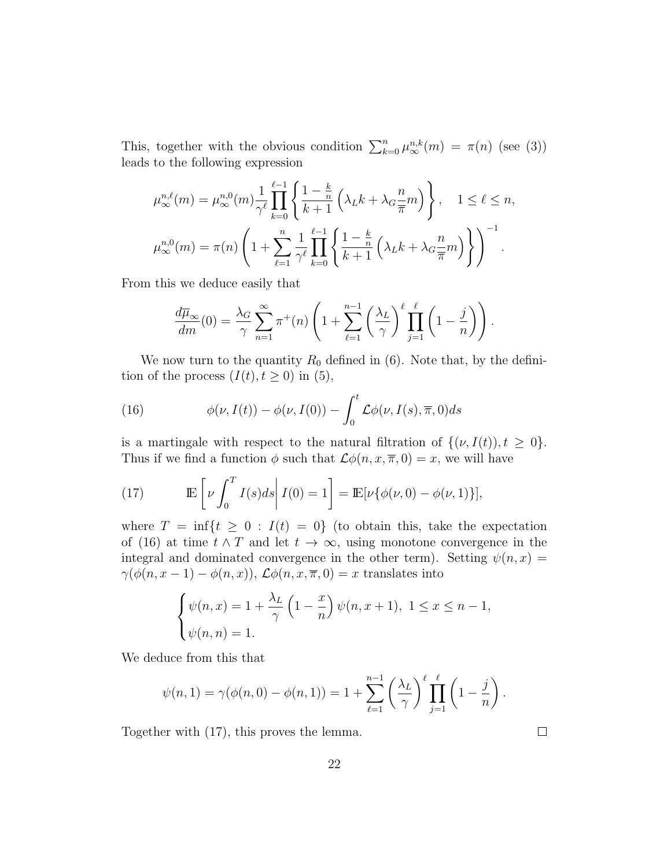This, together with the obvious condition  $\sum_{k=0}^{n} \mu_{\infty}^{n,k}(m) = \pi(n)$  (see (3)) leads to the following expression

$$
\mu_{\infty}^{n,\ell}(m) = \mu_{\infty}^{n,0}(m) \frac{1}{\gamma^{\ell}} \prod_{k=0}^{\ell-1} \left\{ \frac{1 - \frac{k}{n}}{k+1} \left( \lambda_L k + \lambda_G \frac{n}{\overline{\pi}} m \right) \right\}, \quad 1 \le \ell \le n,
$$
  

$$
\mu_{\infty}^{n,0}(m) = \pi(n) \left( 1 + \sum_{\ell=1}^n \frac{1}{\gamma^{\ell}} \prod_{k=0}^{\ell-1} \left\{ \frac{1 - \frac{k}{n}}{k+1} \left( \lambda_L k + \lambda_G \frac{n}{\overline{\pi}} m \right) \right\} \right)^{-1}.
$$

From this we deduce easily that

$$
\frac{d\overline{\mu}_{\infty}}{dm}(0) = \frac{\lambda_G}{\gamma} \sum_{n=1}^{\infty} \pi^+(n) \left(1 + \sum_{\ell=1}^{n-1} \left(\frac{\lambda_L}{\gamma}\right)^{\ell} \prod_{j=1}^{\ell} \left(1 - \frac{j}{n}\right)\right).
$$

We now turn to the quantity  $R_0$  defined in (6). Note that, by the definition of the process  $(I(t), t \geq 0)$  in  $(5)$ ,

(16) 
$$
\phi(\nu, I(t)) - \phi(\nu, I(0)) - \int_0^t \mathcal{L}\phi(\nu, I(s), \overline{\pi}, 0) ds
$$

is a martingale with respect to the natural filtration of  $\{(\nu, I(t)), t \geq 0\}.$ Thus if we find a function  $\phi$  such that  $\mathcal{L}\phi(n, x, \overline{x}, 0) = x$ , we will have

(17) 
$$
\mathbb{E}\left[\nu \int_0^T I(s)ds \middle| I(0) = 1\right] = \mathbb{E}[\nu\{\phi(\nu,0) - \phi(\nu,1)\}],
$$

where  $T = \inf\{t \geq 0 : I(t) = 0\}$  (to obtain this, take the expectation of (16) at time  $t \wedge T$  and let  $t \to \infty$ , using monotone convergence in the integral and dominated convergence in the other term). Setting  $\psi(n, x) =$  $\gamma(\phi(n, x-1) - \phi(n, x))$ ,  $\mathcal{L}\phi(n, x, \overline{\pi}, 0) = x$  translates into

$$
\begin{cases} \psi(n,x) = 1 + \frac{\lambda_L}{\gamma} \left( 1 - \frac{x}{n} \right) \psi(n, x + 1), \ 1 \le x \le n - 1, \\ \psi(n,n) = 1. \end{cases}
$$

We deduce from this that

$$
\psi(n,1) = \gamma(\phi(n,0) - \phi(n,1)) = 1 + \sum_{\ell=1}^{n-1} \left(\frac{\lambda_L}{\gamma}\right)^{\ell} \prod_{j=1}^{\ell} \left(1 - \frac{j}{n}\right).
$$

Together with (17), this proves the lemma.

 $\Box$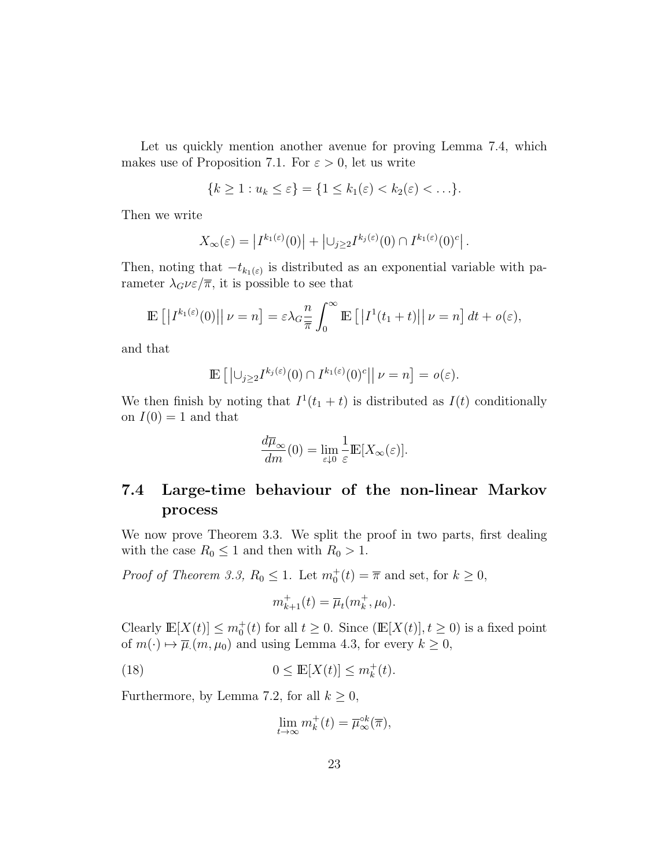Let us quickly mention another avenue for proving Lemma 7.4, which makes use of Proposition 7.1. For  $\varepsilon > 0$ , let us write

$$
\{k\geq 1: u_k\leq \varepsilon\}=\{1\leq k_1(\varepsilon)
$$

Then we write

$$
X_{\infty}(\varepsilon) = \left| I^{k_1(\varepsilon)}(0) \right| + \left| \cup_{j \geq 2} I^{k_j(\varepsilon)}(0) \cap I^{k_1(\varepsilon)}(0)^c \right|.
$$

Then, noting that  $-t_{k_1(\varepsilon)}$  is distributed as an exponential variable with parameter  $\lambda_G \nu \varepsilon / \overline{\pi}$ , it is possible to see that

$$
\mathbb{E}\left[\left|I^{k_1(\varepsilon)}(0)\right|\middle|\nu=n\right] = \varepsilon\lambda_G \frac{n}{\overline{\pi}} \int_0^\infty \mathbb{E}\left[\left|I^1(t_1+t)\right|\middle|\nu=n\right] dt + o(\varepsilon),
$$

and that

$$
\mathbb{E}\left[\left|\bigcup_{j\geq 2} I^{k_j(\varepsilon)}(0)\cap I^{k_1(\varepsilon)}(0)^c\right|\middle|\nu=n\right]=o(\varepsilon).
$$

We then finish by noting that  $I^1(t_1 + t)$  is distributed as  $I(t)$  conditionally on  $I(0) = 1$  and that

$$
\frac{d\overline{\mu}_{\infty}}{dm}(0) = \lim_{\varepsilon \downarrow 0} \frac{1}{\varepsilon} \mathbb{E}[X_{\infty}(\varepsilon)].
$$

## 7.4 Large-time behaviour of the non-linear Markov process

We now prove Theorem 3.3. We split the proof in two parts, first dealing with the case  $R_0 \leq 1$  and then with  $R_0 > 1$ .

*Proof of Theorem 3.3,*  $R_0 \leq 1$ . Let  $m_0^+(t) = \overline{\pi}$  and set, for  $k \geq 0$ ,

$$
m_{k+1}^{+}(t) = \overline{\mu}_{t}(m_{k}^{+}, \mu_{0}).
$$

Clearly  $\mathbb{E}[X(t)] \leq m_0^+(t)$  for all  $t \geq 0$ . Since  $(\mathbb{E}[X(t)], t \geq 0)$  is a fixed point of  $m(\cdot) \mapsto \overline{\mu}(m, \mu_0)$  and using Lemma 4.3, for every  $k \geq 0$ ,

(18) 
$$
0 \le \mathbb{E}[X(t)] \le m_k^+(t).
$$

Furthermore, by Lemma 7.2, for all  $k \geq 0$ ,

$$
\lim_{t \to \infty} m_k^+(t) = \overline{\mu}_{\infty}^{\circ k}(\overline{\pi}),
$$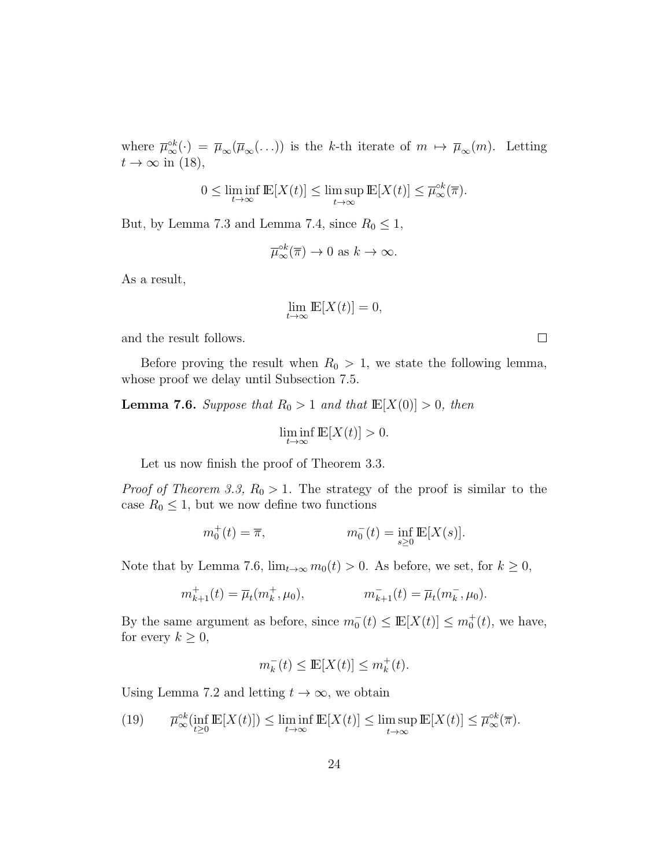where  $\overline{\mu}_{\infty}^{\circ k}(\cdot) = \overline{\mu}_{\infty}(\overline{\mu}_{\infty}(\ldots))$  is the k-th iterate of  $m \mapsto \overline{\mu}_{\infty}(m)$ . Letting  $t \to \infty$  in (18),

$$
0 \le \liminf_{t \to \infty} \mathbb{E}[X(t)] \le \limsup_{t \to \infty} \mathbb{E}[X(t)] \le \overline{\mu}_{\infty}^{\circ k}(\overline{\pi}).
$$

But, by Lemma 7.3 and Lemma 7.4, since  $R_0 \leq 1$ ,

$$
\overline{\mu}_{\infty}^{\circ k}(\overline{\pi}) \to 0 \text{ as } k \to \infty.
$$

As a result,

$$
\lim_{t \to \infty} \mathbb{E}[X(t)] = 0,
$$

and the result follows.

Before proving the result when  $R_0 > 1$ , we state the following lemma, whose proof we delay until Subsection 7.5.

**Lemma 7.6.** Suppose that  $R_0 > 1$  and that  $\mathbb{E}[X(0)] > 0$ , then

$$
\liminf_{t \to \infty} \mathbb{E}[X(t)] > 0.
$$

Let us now finish the proof of Theorem 3.3.

*Proof of Theorem 3.3,*  $R_0 > 1$ . The strategy of the proof is similar to the case  $R_0 \leq 1$ , but we now define two functions

$$
m_0^+(t) = \overline{\pi}, \qquad m_0^-(t) = \inf_{s \ge 0} \mathbb{E}[X(s)].
$$

Note that by Lemma 7.6,  $\lim_{t\to\infty} m_0(t) > 0$ . As before, we set, for  $k \ge 0$ ,

$$
m_{k+1}^+(t) = \overline{\mu}_t(m_k^+, \mu_0), \qquad m_{k+1}^-(t) = \overline{\mu}_t(m_k^-, \mu_0).
$$

By the same argument as before, since  $m_0^-(t) \leq \mathbb{E}[X(t)] \leq m_0^+(t)$ , we have, for every  $k \geq 0$ ,

$$
m_k^-(t) \leq \mathop{\mathrm{I\!E}}[X(t)] \leq m_k^+(t).
$$

Using Lemma 7.2 and letting  $t \to \infty$ , we obtain

(19) 
$$
\overline{\mu}_{\infty}^{\circ k}(\inf_{t\geq 0} \mathbb{E}[X(t)]) \leq \liminf_{t\to\infty} \mathbb{E}[X(t)] \leq \limsup_{t\to\infty} \mathbb{E}[X(t)] \leq \overline{\mu}_{\infty}^{\circ k}(\overline{\pi}).
$$

 $\Box$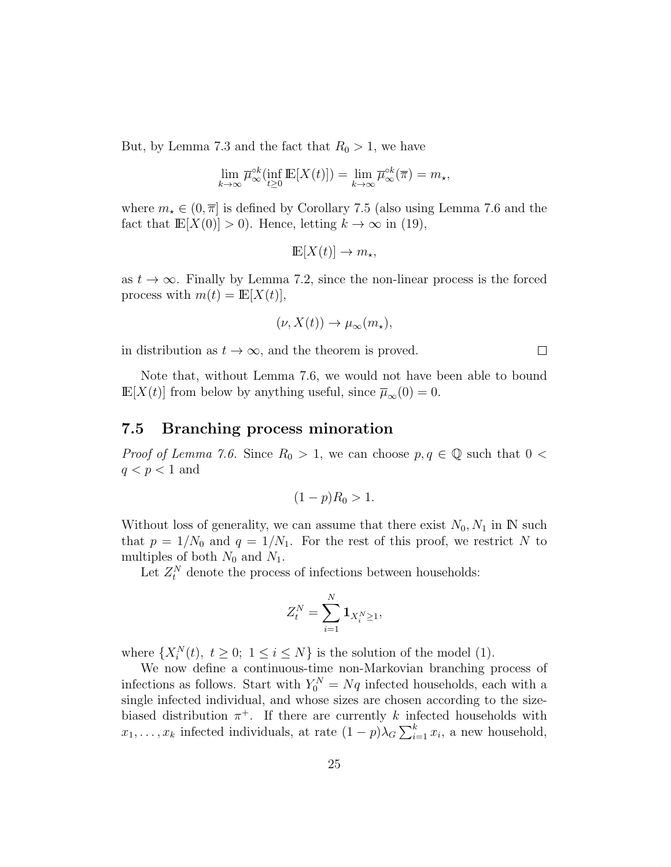But, by Lemma 7.3 and the fact that  $R_0 > 1$ , we have

$$
\lim_{k \to \infty} \overline{\mu}_{\infty}^{\circ k}(\inf_{t \ge 0} \mathbb{E}[X(t)]) = \lim_{k \to \infty} \overline{\mu}_{\infty}^{\circ k}(\overline{\pi}) = m_{\star},
$$

where  $m_{\star} \in (0, \overline{\pi}]$  is defined by Corollary 7.5 (also using Lemma 7.6 and the fact that  $\mathbb{E}[X(0)] > 0$ . Hence, letting  $k \to \infty$  in (19),

$$
\mathbb{E}[X(t)] \to m_{\star},
$$

as  $t \to \infty$ . Finally by Lemma 7.2, since the non-linear process is the forced process with  $m(t) = \mathbb{E}[X(t)],$ 

$$
(\nu, X(t)) \to \mu_{\infty}(m_{\star}),
$$

 $\Box$ 

in distribution as  $t \to \infty$ , and the theorem is proved.

Note that, without Lemma 7.6, we would not have been able to bound  $\mathbb{E}[X(t)]$  from below by anything useful, since  $\overline{\mu}_{\infty}(0) = 0$ .

#### 7.5 Branching process minoration

*Proof of Lemma 7.6.* Since  $R_0 > 1$ , we can choose  $p, q \in \mathbb{Q}$  such that  $0 <$  $q < p < 1$  and

$$
(1-p)R_0 > 1.
$$

Without loss of generality, we can assume that there exist  $N_0, N_1$  in IN such that  $p = 1/N_0$  and  $q = 1/N_1$ . For the rest of this proof, we restrict N to multiples of both  $N_0$  and  $N_1$ .

Let  $Z_t^N$  denote the process of infections between households:

$$
Z_t^N = \sum_{i=1}^N \mathbf{1}_{X_i^N \ge 1},
$$

where  $\{X_i^N(t), t \geq 0; 1 \leq i \leq N\}$  is the solution of the model (1).

We now define a continuous-time non-Markovian branching process of infections as follows. Start with  $Y_0^N = Nq$  infected households, each with a single infected individual, and whose sizes are chosen according to the sizebiased distribution  $\pi^+$ . If there are currently k infected households with  $x_1, \ldots, x_k$  infected individuals, at rate  $(1-p)\lambda_G \sum_{i=1}^k x_i$ , a new household,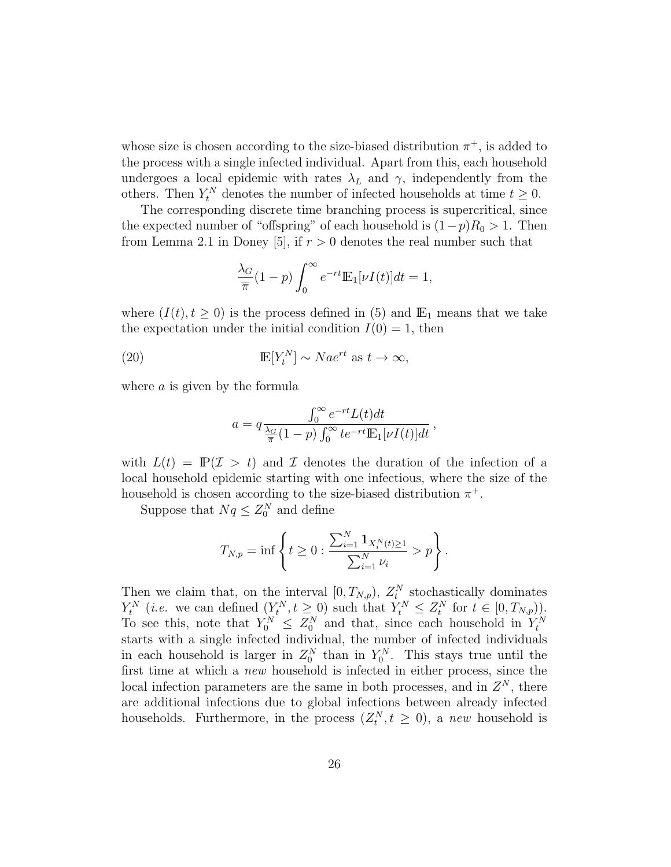whose size is chosen according to the size-biased distribution  $\pi^+$ , is added to the process with a single infected individual. Apart from this, each household undergoes a local epidemic with rates  $\lambda_L$  and  $\gamma$ , independently from the others. Then  $Y_t^N$  denotes the number of infected households at time  $t \geq 0$ .

The corresponding discrete time branching process is supercritical, since the expected number of "offspring" of each household is  $(1-p)R_0 > 1$ . Then from Lemma 2.1 in Doney [5], if  $r > 0$  denotes the real number such that

$$
\frac{\lambda_G}{\overline{\pi}}(1-p)\int_0^\infty e^{-rt} \mathbb{E}_1[\nu I(t)]dt=1,
$$

where  $(I(t), t \geq 0)$  is the process defined in (5) and  $\mathbb{E}_1$  means that we take the expectation under the initial condition  $I(0) = 1$ , then

(20) 
$$
\mathbb{E}[Y_t^N] \sim Na e^{rt} \text{ as } t \to \infty,
$$

where a is given by the formula

$$
a = q \frac{\int_0^\infty e^{-rt} L(t) dt}{\frac{\lambda_G}{\pi} (1-p) \int_0^\infty t e^{-rt} \mathbb{E}_1[\nu I(t)] dt},
$$

with  $L(t) = \mathbb{P}(\mathcal{I} > t)$  and  $\mathcal I$  denotes the duration of the infection of a local household epidemic starting with one infectious, where the size of the household is chosen according to the size-biased distribution  $\pi^+$ .

Suppose that  $Nq \leq Z_0^N$  and define

$$
T_{N,p} = \inf \left\{ t \ge 0 : \frac{\sum_{i=1}^{N} \mathbf{1}_{X_i^N(t) \ge 1}}{\sum_{i=1}^{N} \nu_i} > p \right\}.
$$

Then we claim that, on the interval  $[0, T_{N,p})$ ,  $Z_t^N$  stochastically dominates  $Y_t^N$  (*i.e.* we can defined  $(Y_t^N, t \ge 0)$  such that  $Y_t^N \le Z_t^N$  for  $t \in [0, T_{N,p})$ ). To see this, note that  $Y_0^N \leq Z_0^N$  and that, since each household in  $Y_t^N$ starts with a single infected individual, the number of infected individuals in each household is larger in  $Z_0^N$  than in  $Y_0^N$ . This stays true until the first time at which a new household is infected in either process, since the local infection parameters are the same in both processes, and in  $Z<sup>N</sup>$ , there are additional infections due to global infections between already infected households. Furthermore, in the process  $(Z_t^N, t \geq 0)$ , a new household is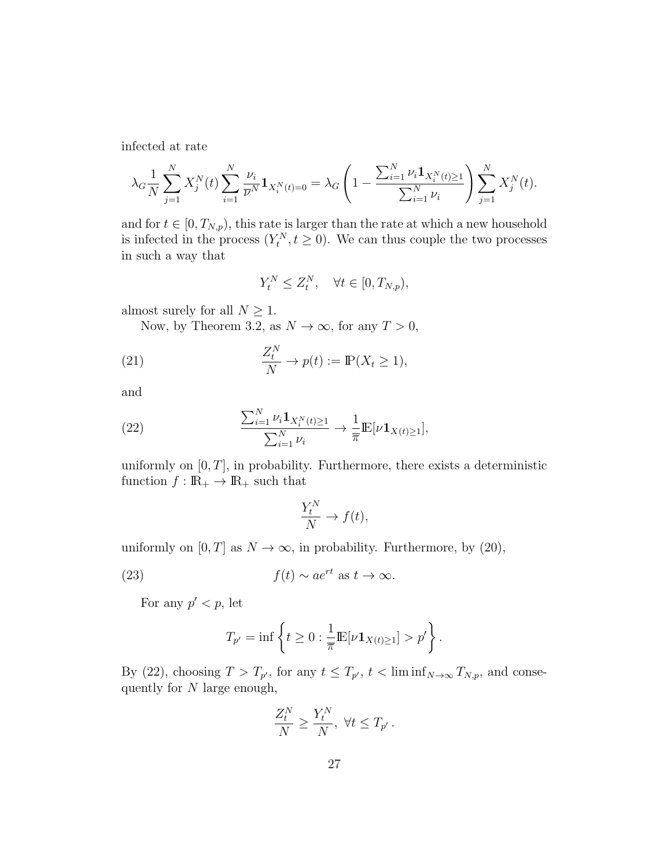infected at rate

$$
\lambda_G \frac{1}{N} \sum_{j=1}^N X_j^N(t) \sum_{i=1}^N \frac{\nu_i}{\overline{\nu}^N} \mathbf{1}_{X_i^N(t)=0} = \lambda_G \left( 1 - \frac{\sum_{i=1}^N \nu_i \mathbf{1}_{X_i^N(t)\geq 1}}{\sum_{i=1}^N \nu_i} \right) \sum_{j=1}^N X_j^N(t).
$$

and for  $t \in [0, T_{N,p})$ , this rate is larger than the rate at which a new household is infected in the process  $(Y_t^N, t \ge 0)$ . We can thus couple the two processes in such a way that

$$
Y_t^N \le Z_t^N, \quad \forall t \in [0, T_{N,p}),
$$

almost surely for all  $N\geq 1.$ 

Now, by Theorem 3.2, as  $N \to \infty$ , for any  $T > 0$ ,

(21) 
$$
\frac{Z_t^N}{N} \to p(t) := \mathbb{P}(X_t \ge 1),
$$

and

(22) 
$$
\frac{\sum_{i=1}^{N} \nu_{i} \mathbf{1}_{X_{i}^{N}(t) \geq 1}}{\sum_{i=1}^{N} \nu_{i}} \to \frac{1}{\pi} \mathbb{E}[\nu \mathbf{1}_{X(t) \geq 1}],
$$

uniformly on  $[0, T]$ , in probability. Furthermore, there exists a deterministic function  $f : \mathbb{R}_+ \to \mathbb{R}_+$  such that

$$
\frac{Y_t^N}{N} \to f(t),
$$

uniformly on  $[0, T]$  as  $N \to \infty$ , in probability. Furthermore, by (20),

(23) 
$$
f(t) \sim ae^{rt}
$$
 as  $t \to \infty$ .

For any  $p' < p$ , let

$$
T_{p'} = \inf \left\{ t \ge 0 : \frac{1}{\overline{\pi}} \mathbb{E}[\nu \mathbf{1}_{X(t) \ge 1}] > p' \right\}.
$$

By (22), choosing  $T > T_{p'}$ , for any  $t \leq T_{p'}$ ,  $t < \liminf_{N \to \infty} T_{N,p}$ , and consequently for N large enough,

$$
\frac{Z_t^N}{N} \ge \frac{Y_t^N}{N}, \ \forall t \le T_{p'}.
$$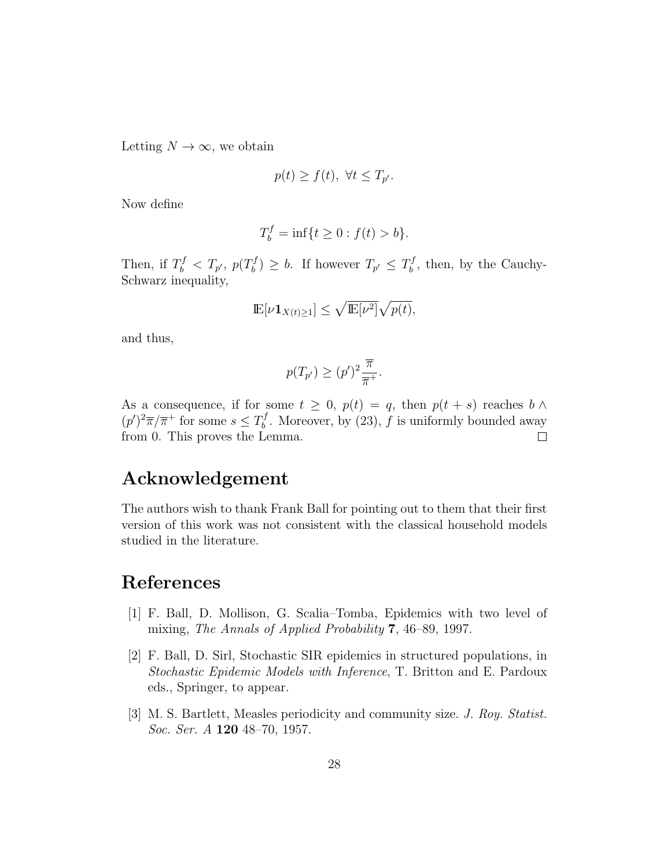Letting  $N \to \infty$ , we obtain

$$
p(t) \ge f(t), \ \forall t \le T_{p'}.
$$

Now define

$$
T_b^f = \inf\{t \ge 0 : f(t) > b\}.
$$

Then, if  $T_b^f < T_{p'}$ ,  $p(T_b^f)$  $\mathcal{F}_b^{f}$   $\geq b$ . If however  $T_{p'} \leq T_b^{f}$  $b<sub>b</sub><sup>t</sup>$ , then, by the Cauchy-Schwarz inequality,

$$
\mathbb{E}[\nu \mathbf{1}_{X(t)\geq 1}] \leq \sqrt{\mathbb{E}[\nu^2]} \sqrt{p(t)},
$$

and thus,

$$
p(T_{p'}) \ge (p')^2 \frac{\overline{\pi}}{\overline{\pi}^+}.
$$

As a consequence, if for some  $t \geq 0$ ,  $p(t) = q$ , then  $p(t + s)$  reaches  $b \wedge$  $(p')^2 \overline{\pi}/\overline{\pi}^+$  for some  $s \leq T_b^f$  $b<sup>J</sup>$ . Moreover, by (23), f is uniformly bounded away from 0. This proves the Lemma.  $\Box$ 

## Acknowledgement

The authors wish to thank Frank Ball for pointing out to them that their first version of this work was not consistent with the classical household models studied in the literature.

## References

- [1] F. Ball, D. Mollison, G. Scalia–Tomba, Epidemics with two level of mixing, The Annals of Applied Probability 7, 46–89, 1997.
- [2] F. Ball, D. Sirl, Stochastic SIR epidemics in structured populations, in Stochastic Epidemic Models with Inference, T. Britton and E. Pardoux eds., Springer, to appear.
- [3] M. S. Bartlett, Measles periodicity and community size. J. Roy. Statist. Soc. Ser. A 120 48–70, 1957.